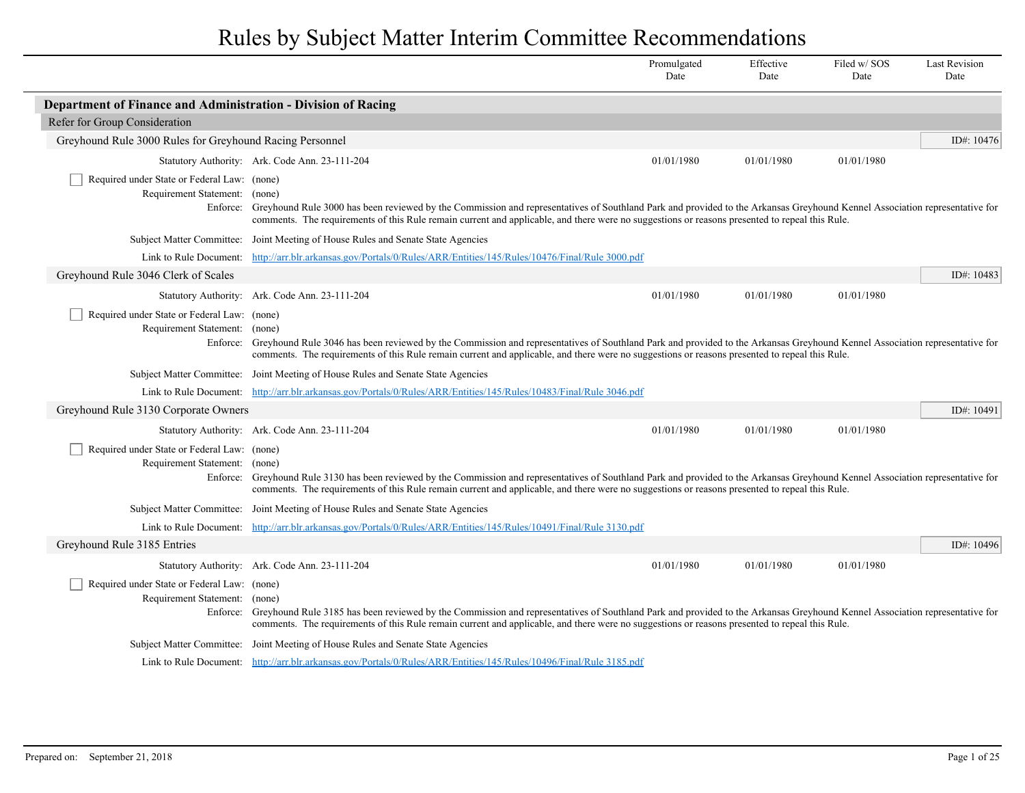|                                                                                          |                                                                                                                                                                                                                                                                                                                                       | Promulgated<br>Date | Effective<br>Date | Filed w/SOS<br>Date | <b>Last Revision</b><br>Date |
|------------------------------------------------------------------------------------------|---------------------------------------------------------------------------------------------------------------------------------------------------------------------------------------------------------------------------------------------------------------------------------------------------------------------------------------|---------------------|-------------------|---------------------|------------------------------|
| Department of Finance and Administration - Division of Racing                            |                                                                                                                                                                                                                                                                                                                                       |                     |                   |                     |                              |
| Refer for Group Consideration                                                            |                                                                                                                                                                                                                                                                                                                                       |                     |                   |                     |                              |
| Greyhound Rule 3000 Rules for Greyhound Racing Personnel                                 |                                                                                                                                                                                                                                                                                                                                       |                     |                   |                     | ID#: 10476                   |
|                                                                                          | Statutory Authority: Ark. Code Ann. 23-111-204                                                                                                                                                                                                                                                                                        | 01/01/1980          | 01/01/1980        | 01/01/1980          |                              |
| Required under State or Federal Law: (none)<br>Requirement Statement: (none)<br>Enforce: | Greyhound Rule 3000 has been reviewed by the Commission and representatives of Southland Park and provided to the Arkansas Greyhound Kennel Association representative for<br>comments. The requirements of this Rule remain current and applicable, and there were no suggestions or reasons presented to repeal this Rule.          |                     |                   |                     |                              |
|                                                                                          | Subject Matter Committee: Joint Meeting of House Rules and Senate State Agencies                                                                                                                                                                                                                                                      |                     |                   |                     |                              |
| Link to Rule Document:                                                                   | http://arr.blr.arkansas.gov/Portals/0/Rules/ARR/Entities/145/Rules/10476/Final/Rule 3000.pdf                                                                                                                                                                                                                                          |                     |                   |                     |                              |
| Greyhound Rule 3046 Clerk of Scales                                                      |                                                                                                                                                                                                                                                                                                                                       |                     |                   |                     | ID#: 10483                   |
|                                                                                          | Statutory Authority: Ark. Code Ann. 23-111-204                                                                                                                                                                                                                                                                                        | 01/01/1980          | 01/01/1980        | 01/01/1980          |                              |
| Required under State or Federal Law: (none)<br>Requirement Statement: (none)<br>Enforce: | Greyhound Rule 3046 has been reviewed by the Commission and representatives of Southland Park and provided to the Arkansas Greyhound Kennel Association representative for<br>comments. The requirements of this Rule remain current and applicable, and there were no suggestions or reasons presented to repeal this Rule.          |                     |                   |                     |                              |
|                                                                                          | Subject Matter Committee: Joint Meeting of House Rules and Senate State Agencies                                                                                                                                                                                                                                                      |                     |                   |                     |                              |
|                                                                                          | Link to Rule Document: http://arr.blr.arkansas.gov/Portals/0/Rules/ARR/Entities/145/Rules/10483/Final/Rule 3046.pdf                                                                                                                                                                                                                   |                     |                   |                     |                              |
| Greyhound Rule 3130 Corporate Owners                                                     |                                                                                                                                                                                                                                                                                                                                       |                     |                   |                     | ID#: 10491                   |
|                                                                                          | Statutory Authority: Ark. Code Ann. 23-111-204                                                                                                                                                                                                                                                                                        | 01/01/1980          | 01/01/1980        | 01/01/1980          |                              |
| Required under State or Federal Law: (none)<br>Requirement Statement: (none)             | Enforce: Greyhound Rule 3130 has been reviewed by the Commission and representatives of Southland Park and provided to the Arkansas Greyhound Kennel Association representative for<br>comments. The requirements of this Rule remain current and applicable, and there were no suggestions or reasons presented to repeal this Rule. |                     |                   |                     |                              |
|                                                                                          | Subject Matter Committee: Joint Meeting of House Rules and Senate State Agencies                                                                                                                                                                                                                                                      |                     |                   |                     |                              |
|                                                                                          | Link to Rule Document: http://arr.blr.arkansas.gov/Portals/0/Rules/ARR/Entities/145/Rules/10491/Final/Rule 3130.pdf                                                                                                                                                                                                                   |                     |                   |                     |                              |
| Greyhound Rule 3185 Entries                                                              |                                                                                                                                                                                                                                                                                                                                       |                     |                   |                     | ID#: 10496                   |
|                                                                                          | Statutory Authority: Ark. Code Ann. 23-111-204                                                                                                                                                                                                                                                                                        | 01/01/1980          | 01/01/1980        | 01/01/1980          |                              |
| Required under State or Federal Law: (none)<br>Requirement Statement: (none)             | Enforce: Greyhound Rule 3185 has been reviewed by the Commission and representatives of Southland Park and provided to the Arkansas Greyhound Kennel Association representative for<br>comments. The requirements of this Rule remain current and applicable, and there were no suggestions or reasons presented to repeal this Rule. |                     |                   |                     |                              |
|                                                                                          | Subject Matter Committee: Joint Meeting of House Rules and Senate State Agencies                                                                                                                                                                                                                                                      |                     |                   |                     |                              |
|                                                                                          | Link to Rule Document: http://arr.blr.arkansas.gov/Portals/0/Rules/ARR/Entities/145/Rules/10496/Final/Rule 3185.pdf                                                                                                                                                                                                                   |                     |                   |                     |                              |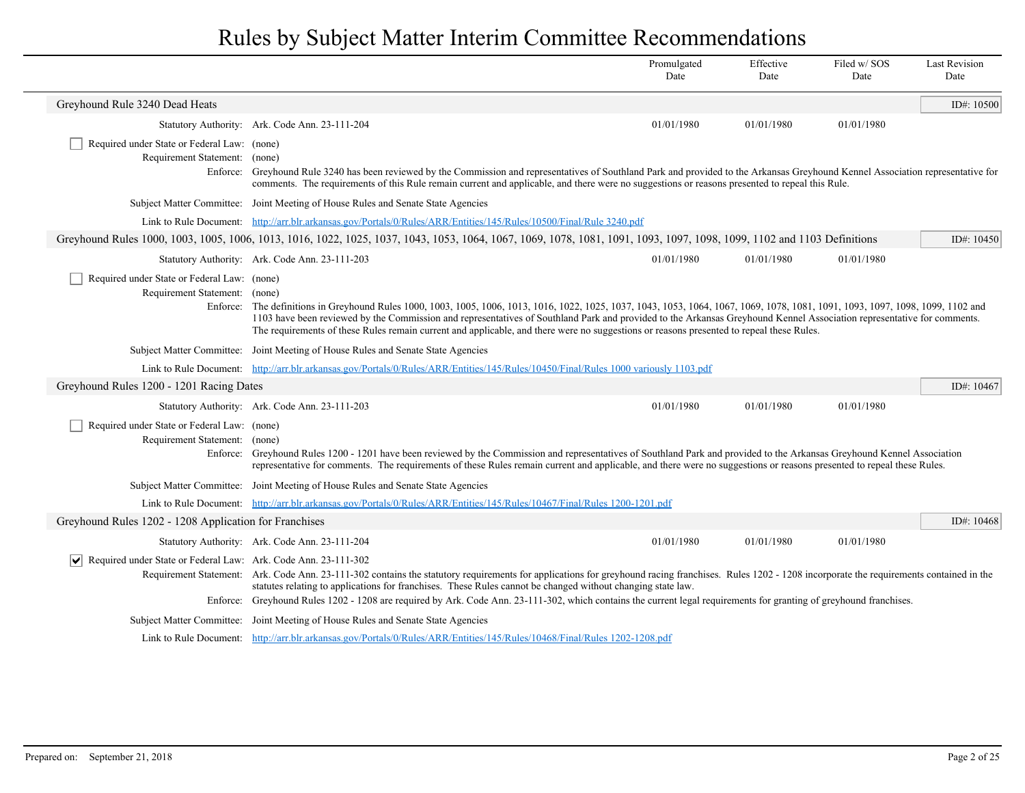|                                                                                       |                                                                                                                                                                                                                                                                                                                                                                                                                                                                                                          | Promulgated<br>Date | Effective<br>Date | Filed w/SOS<br>Date | <b>Last Revision</b><br>Date |
|---------------------------------------------------------------------------------------|----------------------------------------------------------------------------------------------------------------------------------------------------------------------------------------------------------------------------------------------------------------------------------------------------------------------------------------------------------------------------------------------------------------------------------------------------------------------------------------------------------|---------------------|-------------------|---------------------|------------------------------|
| Greyhound Rule 3240 Dead Heats                                                        |                                                                                                                                                                                                                                                                                                                                                                                                                                                                                                          |                     |                   |                     | ID#: $10500$                 |
|                                                                                       | Statutory Authority: Ark. Code Ann. 23-111-204                                                                                                                                                                                                                                                                                                                                                                                                                                                           | 01/01/1980          | 01/01/1980        | 01/01/1980          |                              |
| Required under State or Federal Law: (none)<br>Requirement Statement: (none)          | Enforce: Greyhound Rule 3240 has been reviewed by the Commission and representatives of Southland Park and provided to the Arkansas Greyhound Kennel Association representative for<br>comments. The requirements of this Rule remain current and applicable, and there were no suggestions or reasons presented to repeal this Rule.                                                                                                                                                                    |                     |                   |                     |                              |
|                                                                                       | Subject Matter Committee: Joint Meeting of House Rules and Senate State Agencies                                                                                                                                                                                                                                                                                                                                                                                                                         |                     |                   |                     |                              |
|                                                                                       | Link to Rule Document: http://arr.blr.arkansas.gov/Portals/0/Rules/ARR/Entities/145/Rules/10500/Final/Rule 3240.pdf                                                                                                                                                                                                                                                                                                                                                                                      |                     |                   |                     |                              |
|                                                                                       | Greyhound Rules 1000, 1003, 1005, 1006, 1013, 1016, 1022, 1025, 1037, 1043, 1053, 1064, 1067, 1069, 1078, 1081, 1091, 1093, 1097, 1098, 1099, 1102 and 1103 Definitions                                                                                                                                                                                                                                                                                                                                  |                     |                   |                     | ID#: $10450$                 |
|                                                                                       | Statutory Authority: Ark. Code Ann. 23-111-203                                                                                                                                                                                                                                                                                                                                                                                                                                                           | 01/01/1980          | 01/01/1980        | 01/01/1980          |                              |
| Required under State or Federal Law: (none)<br>Requirement Statement: (none)          | Enforce: The definitions in Greyhound Rules 1000, 1003, 1005, 1006, 1013, 1016, 1022, 1025, 1037, 1043, 1053, 1064, 1067, 1069, 1078, 1081, 1091, 1093, 1097, 1098, 1099, 1102 and<br>1103 have been reviewed by the Commission and representatives of Southland Park and provided to the Arkansas Greyhound Kennel Association representative for comments.<br>The requirements of these Rules remain current and applicable, and there were no suggestions or reasons presented to repeal these Rules. |                     |                   |                     |                              |
|                                                                                       | Subject Matter Committee: Joint Meeting of House Rules and Senate State Agencies                                                                                                                                                                                                                                                                                                                                                                                                                         |                     |                   |                     |                              |
|                                                                                       | Link to Rule Document: http://arr.blr.arkansas.gov/Portals/0/Rules/ARR/Entities/145/Rules/10450/Final/Rules 1000 variously 1103.pdf                                                                                                                                                                                                                                                                                                                                                                      |                     |                   |                     |                              |
| Greyhound Rules 1200 - 1201 Racing Dates                                              |                                                                                                                                                                                                                                                                                                                                                                                                                                                                                                          |                     |                   |                     | ID#: 10467                   |
|                                                                                       | Statutory Authority: Ark. Code Ann. 23-111-203                                                                                                                                                                                                                                                                                                                                                                                                                                                           | 01/01/1980          | 01/01/1980        | 01/01/1980          |                              |
| Required under State or Federal Law: (none)<br>Requirement Statement: (none)          | Enforce: Greyhound Rules 1200 - 1201 have been reviewed by the Commission and representatives of Southland Park and provided to the Arkansas Greyhound Kennel Association<br>representative for comments. The requirements of these Rules remain current and applicable, and there were no suggestions or reasons presented to repeal these Rules.                                                                                                                                                       |                     |                   |                     |                              |
|                                                                                       | Subject Matter Committee: Joint Meeting of House Rules and Senate State Agencies                                                                                                                                                                                                                                                                                                                                                                                                                         |                     |                   |                     |                              |
|                                                                                       | Link to Rule Document: http://arr.blr.arkansas.gov/Portals/0/Rules/ARR/Entities/145/Rules/10467/Final/Rules 1200-1201.pdf                                                                                                                                                                                                                                                                                                                                                                                |                     |                   |                     |                              |
| Greyhound Rules 1202 - 1208 Application for Franchises                                |                                                                                                                                                                                                                                                                                                                                                                                                                                                                                                          |                     |                   |                     | ID#: 10468                   |
|                                                                                       | Statutory Authority: Ark. Code Ann. 23-111-204                                                                                                                                                                                                                                                                                                                                                                                                                                                           | 01/01/1980          | 01/01/1980        | 01/01/1980          |                              |
| Required under State or Federal Law: Ark. Code Ann. 23-111-302<br>$ \bm{\mathsf{v}} $ | Requirement Statement: Ark. Code Ann. 23-111-302 contains the statutory requirements for applications for greyhound racing franchises. Rules 1202 - 1208 incorporate the requirements contained in the<br>statutes relating to applications for franchises. These Rules cannot be changed without changing state law.<br>Enforce: Greyhound Rules 1202 - 1208 are required by Ark. Code Ann. 23-111-302, which contains the current legal requirements for granting of greyhound franchises.             |                     |                   |                     |                              |
|                                                                                       | Subject Matter Committee: Joint Meeting of House Rules and Senate State Agencies                                                                                                                                                                                                                                                                                                                                                                                                                         |                     |                   |                     |                              |
|                                                                                       | Link to Rule Document: http://arr.blr.arkansas.gov/Portals/0/Rules/ARR/Entities/145/Rules/10468/Final/Rules 1202-1208.pdf                                                                                                                                                                                                                                                                                                                                                                                |                     |                   |                     |                              |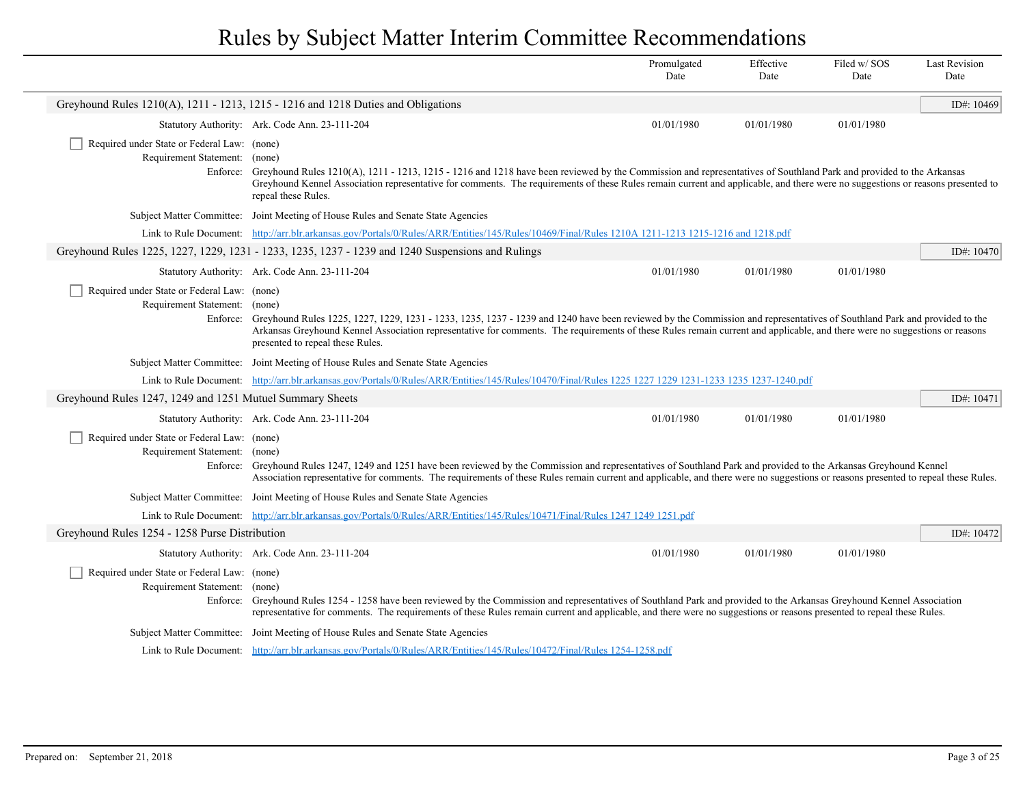|                                                                              |                                                                                                                                                                                                                                                                                                                                                                                                     | Promulgated<br>Date | Effective<br>Date | Filed w/SOS<br>Date | <b>Last Revision</b><br>Date |
|------------------------------------------------------------------------------|-----------------------------------------------------------------------------------------------------------------------------------------------------------------------------------------------------------------------------------------------------------------------------------------------------------------------------------------------------------------------------------------------------|---------------------|-------------------|---------------------|------------------------------|
|                                                                              | Greyhound Rules 1210(A), 1211 - 1213, 1215 - 1216 and 1218 Duties and Obligations                                                                                                                                                                                                                                                                                                                   |                     |                   |                     | ID#: 10469                   |
|                                                                              | Statutory Authority: Ark. Code Ann. 23-111-204                                                                                                                                                                                                                                                                                                                                                      | 01/01/1980          | 01/01/1980        | 01/01/1980          |                              |
| Required under State or Federal Law: (none)<br>Requirement Statement: (none) | Enforce: Greyhound Rules 1210(A), 1211 - 1213, 1215 - 1216 and 1218 have been reviewed by the Commission and representatives of Southland Park and provided to the Arkansas<br>Greyhound Kennel Association representative for comments. The requirements of these Rules remain current and applicable, and there were no suggestions or reasons presented to<br>repeal these Rules.                |                     |                   |                     |                              |
|                                                                              | Subject Matter Committee: Joint Meeting of House Rules and Senate State Agencies                                                                                                                                                                                                                                                                                                                    |                     |                   |                     |                              |
|                                                                              | Link to Rule Document: http://arr.blr.arkansas.gov/Portals/0/Rules/ARR/Entities/145/Rules/10469/Final/Rules 1210A 1211-1213 1215-1216 and 1218.pdf                                                                                                                                                                                                                                                  |                     |                   |                     |                              |
|                                                                              | Greyhound Rules 1225, 1227, 1229, 1231 - 1233, 1235, 1237 - 1239 and 1240 Suspensions and Rulings                                                                                                                                                                                                                                                                                                   |                     |                   |                     | ID#: $10470$                 |
|                                                                              | Statutory Authority: Ark. Code Ann. 23-111-204                                                                                                                                                                                                                                                                                                                                                      | 01/01/1980          | 01/01/1980        | 01/01/1980          |                              |
| Required under State or Federal Law: (none)<br>Requirement Statement: (none) | Enforce: Greyhound Rules 1225, 1227, 1229, 1231 - 1233, 1235, 1237 - 1239 and 1240 have been reviewed by the Commission and representatives of Southland Park and provided to the<br>Arkansas Greyhound Kennel Association representative for comments. The requirements of these Rules remain current and applicable, and there were no suggestions or reasons<br>presented to repeal these Rules. |                     |                   |                     |                              |
|                                                                              | Subject Matter Committee: Joint Meeting of House Rules and Senate State Agencies                                                                                                                                                                                                                                                                                                                    |                     |                   |                     |                              |
|                                                                              | Link to Rule Document: http://arr.blr.arkansas.gov/Portals/0/Rules/ARR/Entities/145/Rules/10470/Final/Rules 1225 1227 1229 1231-1233 1235 1237-1240.pdf                                                                                                                                                                                                                                             |                     |                   |                     |                              |
| Greyhound Rules 1247, 1249 and 1251 Mutuel Summary Sheets                    |                                                                                                                                                                                                                                                                                                                                                                                                     |                     |                   |                     | ID#: 10471                   |
|                                                                              | Statutory Authority: Ark. Code Ann. 23-111-204                                                                                                                                                                                                                                                                                                                                                      | 01/01/1980          | 01/01/1980        | 01/01/1980          |                              |
| Required under State or Federal Law: (none)<br>Requirement Statement: (none) | Enforce: Greyhound Rules 1247, 1249 and 1251 have been reviewed by the Commission and representatives of Southland Park and provided to the Arkansas Greyhound Kennel<br>Association representative for comments. The requirements of these Rules remain current and applicable, and there were no suggestions or reasons presented to repeal these Rules.                                          |                     |                   |                     |                              |
|                                                                              | Subject Matter Committee: Joint Meeting of House Rules and Senate State Agencies                                                                                                                                                                                                                                                                                                                    |                     |                   |                     |                              |
|                                                                              | Link to Rule Document: http://arr.blr.arkansas.gov/Portals/0/Rules/ARR/Entities/145/Rules/10471/Final/Rules 1247 1249 1251.pdf                                                                                                                                                                                                                                                                      |                     |                   |                     |                              |
| Greyhound Rules 1254 - 1258 Purse Distribution                               |                                                                                                                                                                                                                                                                                                                                                                                                     |                     |                   |                     | ID#: 10472                   |
|                                                                              | Statutory Authority: Ark. Code Ann. 23-111-204                                                                                                                                                                                                                                                                                                                                                      | 01/01/1980          | 01/01/1980        | 01/01/1980          |                              |
| Required under State or Federal Law: (none)<br>Requirement Statement: (none) | Enforce: Greyhound Rules 1254 - 1258 have been reviewed by the Commission and representatives of Southland Park and provided to the Arkansas Greyhound Kennel Association<br>representative for comments. The requirements of these Rules remain current and applicable, and there were no suggestions or reasons presented to repeal these Rules.                                                  |                     |                   |                     |                              |
|                                                                              | Subject Matter Committee: Joint Meeting of House Rules and Senate State Agencies                                                                                                                                                                                                                                                                                                                    |                     |                   |                     |                              |
|                                                                              | Link to Rule Document: http://arr.blr.arkansas.gov/Portals/0/Rules/ARR/Entities/145/Rules/10472/Final/Rules 1254-1258.pdf                                                                                                                                                                                                                                                                           |                     |                   |                     |                              |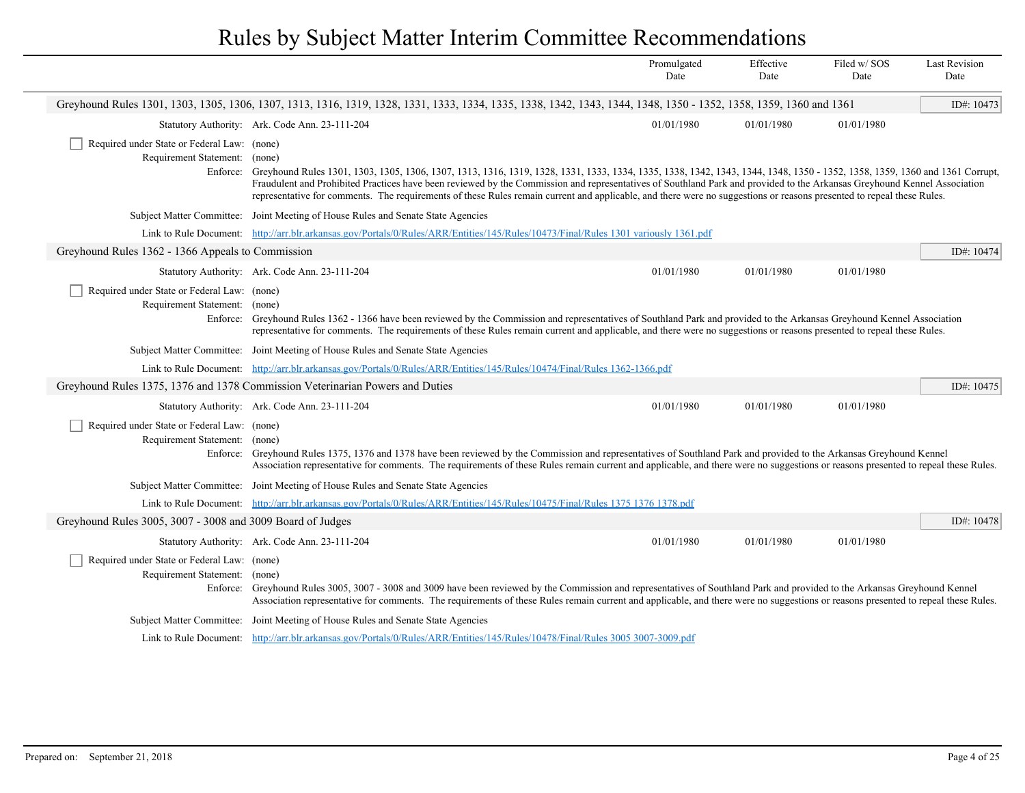|                                                                                          |                                                                                                                                                                                                                                                                                                                                                                                                                                                                                                                                  | Promulgated<br>Date | Effective<br>Date | Filed w/SOS<br>Date | <b>Last Revision</b><br>Date |
|------------------------------------------------------------------------------------------|----------------------------------------------------------------------------------------------------------------------------------------------------------------------------------------------------------------------------------------------------------------------------------------------------------------------------------------------------------------------------------------------------------------------------------------------------------------------------------------------------------------------------------|---------------------|-------------------|---------------------|------------------------------|
|                                                                                          | Greyhound Rules 1301, 1303, 1305, 1306, 1307, 1313, 1316, 1319, 1328, 1331, 1333, 1334, 1335, 1338, 1342, 1343, 1344, 1348, 1350 - 1352, 1358, 1359, 1360 and 1361                                                                                                                                                                                                                                                                                                                                                               |                     |                   |                     | ID#: 10473                   |
|                                                                                          | Statutory Authority: Ark. Code Ann. 23-111-204                                                                                                                                                                                                                                                                                                                                                                                                                                                                                   | 01/01/1980          | 01/01/1980        | 01/01/1980          |                              |
| Required under State or Federal Law: (none)<br>Requirement Statement: (none)<br>Enforce: | Greyhound Rules 1301, 1303, 1305, 1306, 1307, 1313, 1316, 1319, 1328, 1331, 1333, 1334, 1335, 1338, 1342, 1343, 1344, 1348, 1350 - 1352, 1358, 1359, 1360 and 1361 Corrupt,<br>Fraudulent and Prohibited Practices have been reviewed by the Commission and representatives of Southland Park and provided to the Arkansas Greyhound Kennel Association<br>representative for comments. The requirements of these Rules remain current and applicable, and there were no suggestions or reasons presented to repeal these Rules. |                     |                   |                     |                              |
|                                                                                          | Subject Matter Committee: Joint Meeting of House Rules and Senate State Agencies                                                                                                                                                                                                                                                                                                                                                                                                                                                 |                     |                   |                     |                              |
|                                                                                          | Link to Rule Document: http://arr.blr.arkansas.gov/Portals/0/Rules/ARR/Entities/145/Rules/10473/Final/Rules 1301 variously 1361.pdf                                                                                                                                                                                                                                                                                                                                                                                              |                     |                   |                     |                              |
| Greyhound Rules 1362 - 1366 Appeals to Commission                                        |                                                                                                                                                                                                                                                                                                                                                                                                                                                                                                                                  |                     |                   |                     | ID#: 10474                   |
|                                                                                          | Statutory Authority: Ark. Code Ann. 23-111-204                                                                                                                                                                                                                                                                                                                                                                                                                                                                                   | 01/01/1980          | 01/01/1980        | 01/01/1980          |                              |
| Required under State or Federal Law: (none)<br>Requirement Statement: (none)             | Enforce: Greyhound Rules 1362 - 1366 have been reviewed by the Commission and representatives of Southland Park and provided to the Arkansas Greyhound Kennel Association<br>representative for comments. The requirements of these Rules remain current and applicable, and there were no suggestions or reasons presented to repeal these Rules.                                                                                                                                                                               |                     |                   |                     |                              |
|                                                                                          | Subject Matter Committee: Joint Meeting of House Rules and Senate State Agencies                                                                                                                                                                                                                                                                                                                                                                                                                                                 |                     |                   |                     |                              |
|                                                                                          | Link to Rule Document: http://arr.blr.arkansas.gov/Portals/0/Rules/ARR/Entities/145/Rules/10474/Final/Rules 1362-1366.pdf                                                                                                                                                                                                                                                                                                                                                                                                        |                     |                   |                     |                              |
|                                                                                          | Greyhound Rules 1375, 1376 and 1378 Commission Veterinarian Powers and Duties                                                                                                                                                                                                                                                                                                                                                                                                                                                    |                     |                   |                     | ID#: 10475                   |
|                                                                                          | Statutory Authority: Ark. Code Ann. 23-111-204                                                                                                                                                                                                                                                                                                                                                                                                                                                                                   | 01/01/1980          | 01/01/1980        | 01/01/1980          |                              |
| Required under State or Federal Law: (none)<br>Requirement Statement: (none)             | Enforce: Greyhound Rules 1375, 1376 and 1378 have been reviewed by the Commission and representatives of Southland Park and provided to the Arkansas Greyhound Kennel<br>Association representative for comments. The requirements of these Rules remain current and applicable, and there were no suggestions or reasons presented to repeal these Rules.                                                                                                                                                                       |                     |                   |                     |                              |
|                                                                                          | Subject Matter Committee: Joint Meeting of House Rules and Senate State Agencies                                                                                                                                                                                                                                                                                                                                                                                                                                                 |                     |                   |                     |                              |
|                                                                                          | Link to Rule Document: http://arr.blr.arkansas.gov/Portals/0/Rules/ARR/Entities/145/Rules/10475/Final/Rules 1375 1376 1378.pdf                                                                                                                                                                                                                                                                                                                                                                                                   |                     |                   |                     |                              |
| Greyhound Rules 3005, 3007 - 3008 and 3009 Board of Judges                               |                                                                                                                                                                                                                                                                                                                                                                                                                                                                                                                                  |                     |                   |                     | ID#: 10478                   |
|                                                                                          | Statutory Authority: Ark. Code Ann. 23-111-204                                                                                                                                                                                                                                                                                                                                                                                                                                                                                   | 01/01/1980          | 01/01/1980        | 01/01/1980          |                              |
| Required under State or Federal Law: (none)<br>Requirement Statement: (none)             | Enforce: Greyhound Rules 3005, 3007 - 3008 and 3009 have been reviewed by the Commission and representatives of Southland Park and provided to the Arkansas Greyhound Kennel<br>Association representative for comments. The requirements of these Rules remain current and applicable, and there were no suggestions or reasons presented to repeal these Rules.                                                                                                                                                                |                     |                   |                     |                              |
|                                                                                          | Subject Matter Committee: Joint Meeting of House Rules and Senate State Agencies                                                                                                                                                                                                                                                                                                                                                                                                                                                 |                     |                   |                     |                              |
|                                                                                          | Link to Rule Document: http://arr.blr.arkansas.gov/Portals/0/Rules/ARR/Entities/145/Rules/10478/Final/Rules 3005 3007-3009.pdf                                                                                                                                                                                                                                                                                                                                                                                                   |                     |                   |                     |                              |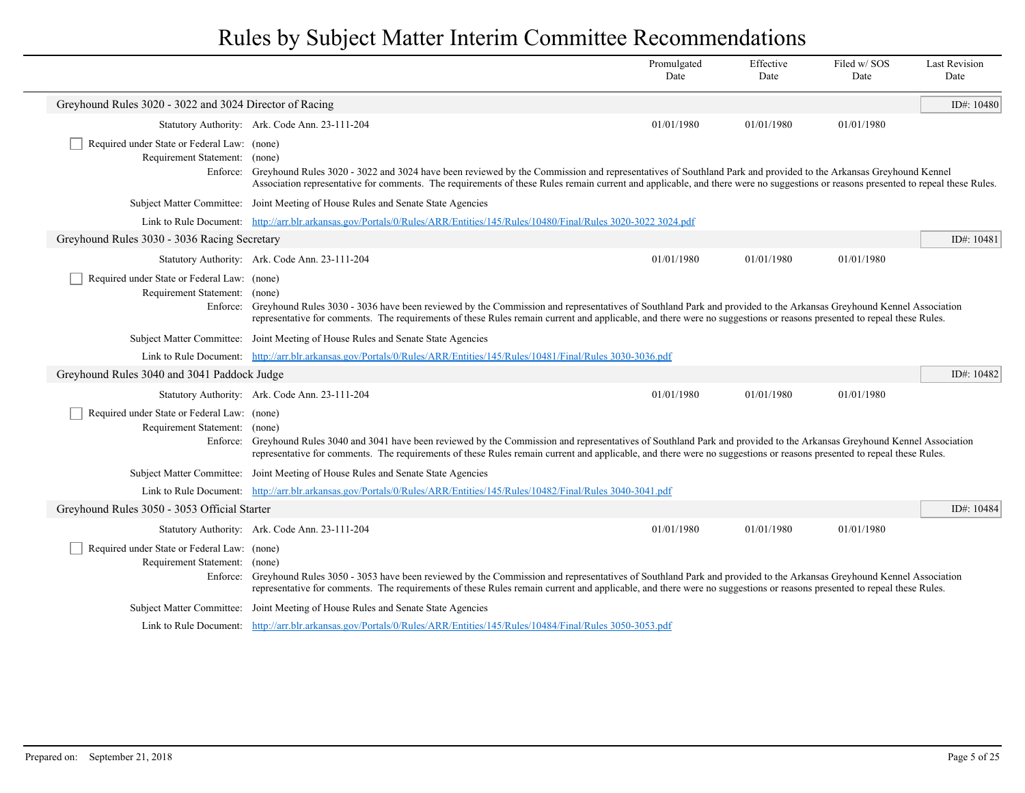|                                                                                          |                                                                                                                                                                                                                                                                                                                                                             | Promulgated<br>Date | Effective<br>Date | Filed w/SOS<br>Date | <b>Last Revision</b><br>Date |
|------------------------------------------------------------------------------------------|-------------------------------------------------------------------------------------------------------------------------------------------------------------------------------------------------------------------------------------------------------------------------------------------------------------------------------------------------------------|---------------------|-------------------|---------------------|------------------------------|
| Greyhound Rules 3020 - 3022 and 3024 Director of Racing                                  |                                                                                                                                                                                                                                                                                                                                                             |                     |                   |                     | ID#: $10480$                 |
|                                                                                          | Statutory Authority: Ark. Code Ann. 23-111-204                                                                                                                                                                                                                                                                                                              | 01/01/1980          | 01/01/1980        | 01/01/1980          |                              |
| Required under State or Federal Law: (none)<br>Requirement Statement: (none)             | Enforce: Greyhound Rules 3020 - 3022 and 3024 have been reviewed by the Commission and representatives of Southland Park and provided to the Arkansas Greyhound Kennel<br>Association representative for comments. The requirements of these Rules remain current and applicable, and there were no suggestions or reasons presented to repeal these Rules. |                     |                   |                     |                              |
|                                                                                          | Subject Matter Committee: Joint Meeting of House Rules and Senate State Agencies                                                                                                                                                                                                                                                                            |                     |                   |                     |                              |
|                                                                                          | Link to Rule Document: http://arr.blr.arkansas.gov/Portals/0/Rules/ARR/Entities/145/Rules/10480/Final/Rules 3020-3022 3024.pdf                                                                                                                                                                                                                              |                     |                   |                     |                              |
| Greyhound Rules 3030 - 3036 Racing Secretary                                             |                                                                                                                                                                                                                                                                                                                                                             |                     |                   |                     | ID#: 10481                   |
|                                                                                          | Statutory Authority: Ark. Code Ann. 23-111-204                                                                                                                                                                                                                                                                                                              | 01/01/1980          | 01/01/1980        | 01/01/1980          |                              |
| Required under State or Federal Law: (none)<br>Requirement Statement: (none)             | Enforce: Greyhound Rules 3030 - 3036 have been reviewed by the Commission and representatives of Southland Park and provided to the Arkansas Greyhound Kennel Association<br>representative for comments. The requirements of these Rules remain current and applicable, and there were no suggestions or reasons presented to repeal these Rules.          |                     |                   |                     |                              |
|                                                                                          | Subject Matter Committee: Joint Meeting of House Rules and Senate State Agencies                                                                                                                                                                                                                                                                            |                     |                   |                     |                              |
|                                                                                          | Link to Rule Document: http://arr.blr.arkansas.gov/Portals/0/Rules/ARR/Entities/145/Rules/10481/Final/Rules 3030-3036.pdf                                                                                                                                                                                                                                   |                     |                   |                     |                              |
| Greyhound Rules 3040 and 3041 Paddock Judge                                              |                                                                                                                                                                                                                                                                                                                                                             |                     |                   |                     | ID#: 10482                   |
|                                                                                          | Statutory Authority: Ark. Code Ann. 23-111-204                                                                                                                                                                                                                                                                                                              | 01/01/1980          | 01/01/1980        | 01/01/1980          |                              |
| Required under State or Federal Law: (none)<br>Requirement Statement: (none)<br>Enforce: | Greyhound Rules 3040 and 3041 have been reviewed by the Commission and representatives of Southland Park and provided to the Arkansas Greyhound Kennel Association<br>representative for comments. The requirements of these Rules remain current and applicable, and there were no suggestions or reasons presented to repeal these Rules.                 |                     |                   |                     |                              |
|                                                                                          | Subject Matter Committee: Joint Meeting of House Rules and Senate State Agencies                                                                                                                                                                                                                                                                            |                     |                   |                     |                              |
|                                                                                          | Link to Rule Document: http://arr.blr.arkansas.gov/Portals/0/Rules/ARR/Entities/145/Rules/10482/Final/Rules 3040-3041.pdf                                                                                                                                                                                                                                   |                     |                   |                     |                              |
| Greyhound Rules 3050 - 3053 Official Starter                                             |                                                                                                                                                                                                                                                                                                                                                             |                     |                   |                     | ID#: 10484                   |
|                                                                                          | Statutory Authority: Ark. Code Ann. 23-111-204                                                                                                                                                                                                                                                                                                              | 01/01/1980          | 01/01/1980        | 01/01/1980          |                              |
| Required under State or Federal Law: (none)<br>Requirement Statement: (none)             | Enforce: Greyhound Rules 3050 - 3053 have been reviewed by the Commission and representatives of Southland Park and provided to the Arkansas Greyhound Kennel Association<br>representative for comments. The requirements of these Rules remain current and applicable, and there were no suggestions or reasons presented to repeal these Rules.          |                     |                   |                     |                              |
|                                                                                          | Subject Matter Committee: Joint Meeting of House Rules and Senate State Agencies                                                                                                                                                                                                                                                                            |                     |                   |                     |                              |
|                                                                                          | Link to Rule Document: http://arr.blr.arkansas.gov/Portals/0/Rules/ARR/Entities/145/Rules/10484/Final/Rules 3050-3053.pdf                                                                                                                                                                                                                                   |                     |                   |                     |                              |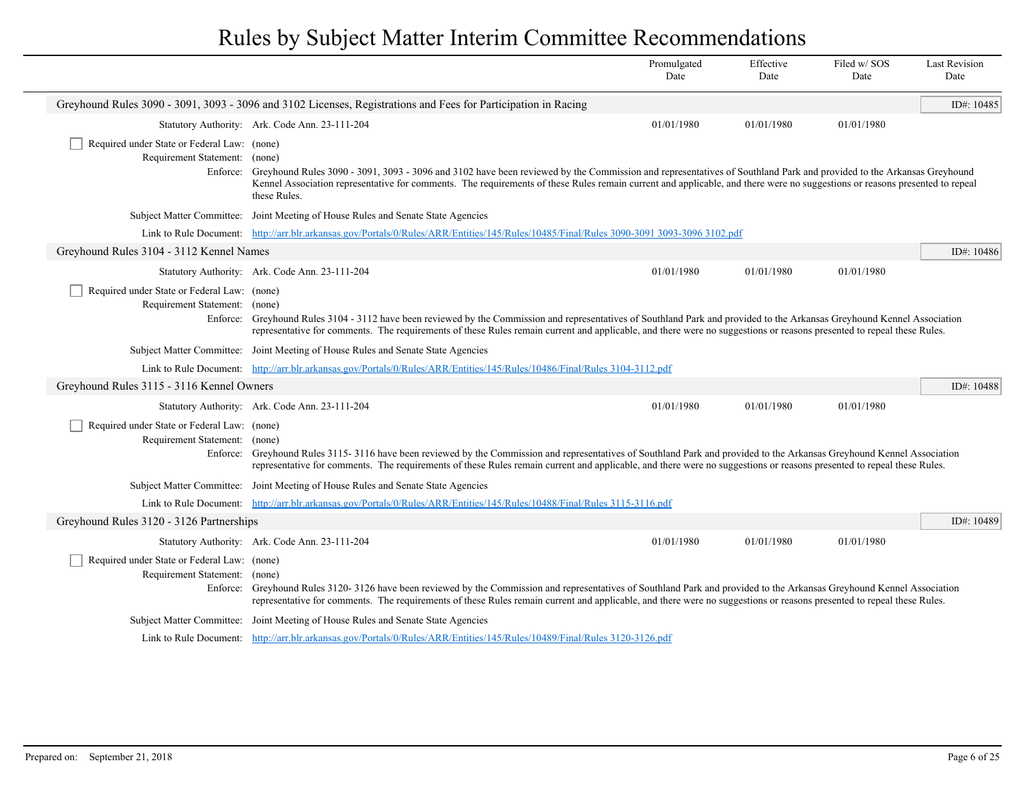|                                                                                          |                                                                                                                                                                                                                                                                                                                                                                    | Promulgated<br>Date | Effective<br>Date | Filed w/SOS<br>Date | <b>Last Revision</b><br>Date |
|------------------------------------------------------------------------------------------|--------------------------------------------------------------------------------------------------------------------------------------------------------------------------------------------------------------------------------------------------------------------------------------------------------------------------------------------------------------------|---------------------|-------------------|---------------------|------------------------------|
|                                                                                          | Greyhound Rules 3090 - 3091, 3093 - 3096 and 3102 Licenses, Registrations and Fees for Participation in Racing                                                                                                                                                                                                                                                     |                     |                   |                     | ID#: 10485                   |
|                                                                                          | Statutory Authority: Ark. Code Ann. 23-111-204                                                                                                                                                                                                                                                                                                                     | 01/01/1980          | 01/01/1980        | 01/01/1980          |                              |
| Required under State or Federal Law: (none)<br>Requirement Statement: (none)<br>Enforce: | Greyhound Rules 3090 - 3091, 3093 - 3096 and 3102 have been reviewed by the Commission and representatives of Southland Park and provided to the Arkansas Greyhound<br>Kennel Association representative for comments. The requirements of these Rules remain current and applicable, and there were no suggestions or reasons presented to repeal<br>these Rules. |                     |                   |                     |                              |
|                                                                                          | Subject Matter Committee: Joint Meeting of House Rules and Senate State Agencies                                                                                                                                                                                                                                                                                   |                     |                   |                     |                              |
|                                                                                          | Link to Rule Document: http://arr.blr.arkansas.gov/Portals/0/Rules/ARR/Entities/145/Rules/10485/Final/Rules 3090-3091 3093-3096 3102.pdf                                                                                                                                                                                                                           |                     |                   |                     |                              |
| Greyhound Rules 3104 - 3112 Kennel Names                                                 |                                                                                                                                                                                                                                                                                                                                                                    |                     |                   |                     | ID#: 10486                   |
|                                                                                          | Statutory Authority: Ark. Code Ann. 23-111-204                                                                                                                                                                                                                                                                                                                     | 01/01/1980          | 01/01/1980        | 01/01/1980          |                              |
| Required under State or Federal Law: (none)<br>Requirement Statement: (none)             | Enforce: Greyhound Rules 3104 - 3112 have been reviewed by the Commission and representatives of Southland Park and provided to the Arkansas Greyhound Kennel Association<br>representative for comments. The requirements of these Rules remain current and applicable, and there were no suggestions or reasons presented to repeal these Rules.                 |                     |                   |                     |                              |
|                                                                                          | Subject Matter Committee: Joint Meeting of House Rules and Senate State Agencies                                                                                                                                                                                                                                                                                   |                     |                   |                     |                              |
|                                                                                          | Link to Rule Document: http://arr.blr.arkansas.gov/Portals/0/Rules/ARR/Entities/145/Rules/10486/Final/Rules 3104-3112.pdf                                                                                                                                                                                                                                          |                     |                   |                     |                              |
| Greyhound Rules 3115 - 3116 Kennel Owners                                                |                                                                                                                                                                                                                                                                                                                                                                    |                     |                   |                     | ID#: 10488                   |
|                                                                                          | Statutory Authority: Ark. Code Ann. 23-111-204                                                                                                                                                                                                                                                                                                                     | 01/01/1980          | 01/01/1980        | 01/01/1980          |                              |
| Required under State or Federal Law: (none)<br>Requirement Statement: (none)             | Enforce: Greyhound Rules 3115-3116 have been reviewed by the Commission and representatives of Southland Park and provided to the Arkansas Greyhound Kennel Association<br>representative for comments. The requirements of these Rules remain current and applicable, and there were no suggestions or reasons presented to repeal these Rules.                   |                     |                   |                     |                              |
|                                                                                          | Subject Matter Committee: Joint Meeting of House Rules and Senate State Agencies                                                                                                                                                                                                                                                                                   |                     |                   |                     |                              |
|                                                                                          | Link to Rule Document: http://arr.blr.arkansas.gov/Portals/0/Rules/ARR/Entities/145/Rules/10488/Final/Rules 3115-3116.pdf                                                                                                                                                                                                                                          |                     |                   |                     |                              |
| Greyhound Rules 3120 - 3126 Partnerships                                                 |                                                                                                                                                                                                                                                                                                                                                                    |                     |                   |                     | ID#: 10489                   |
|                                                                                          | Statutory Authority: Ark. Code Ann. 23-111-204                                                                                                                                                                                                                                                                                                                     | 01/01/1980          | 01/01/1980        | 01/01/1980          |                              |
| Required under State or Federal Law: (none)<br>Requirement Statement: (none)             | Enforce: Greyhound Rules 3120-3126 have been reviewed by the Commission and representatives of Southland Park and provided to the Arkansas Greyhound Kennel Association<br>representative for comments. The requirements of these Rules remain current and applicable, and there were no suggestions or reasons presented to repeal these Rules.                   |                     |                   |                     |                              |
|                                                                                          | Subject Matter Committee: Joint Meeting of House Rules and Senate State Agencies                                                                                                                                                                                                                                                                                   |                     |                   |                     |                              |
|                                                                                          | Link to Rule Document: http://arr.blr.arkansas.gov/Portals/0/Rules/ARR/Entities/145/Rules/10489/Final/Rules 3120-3126.pdf                                                                                                                                                                                                                                          |                     |                   |                     |                              |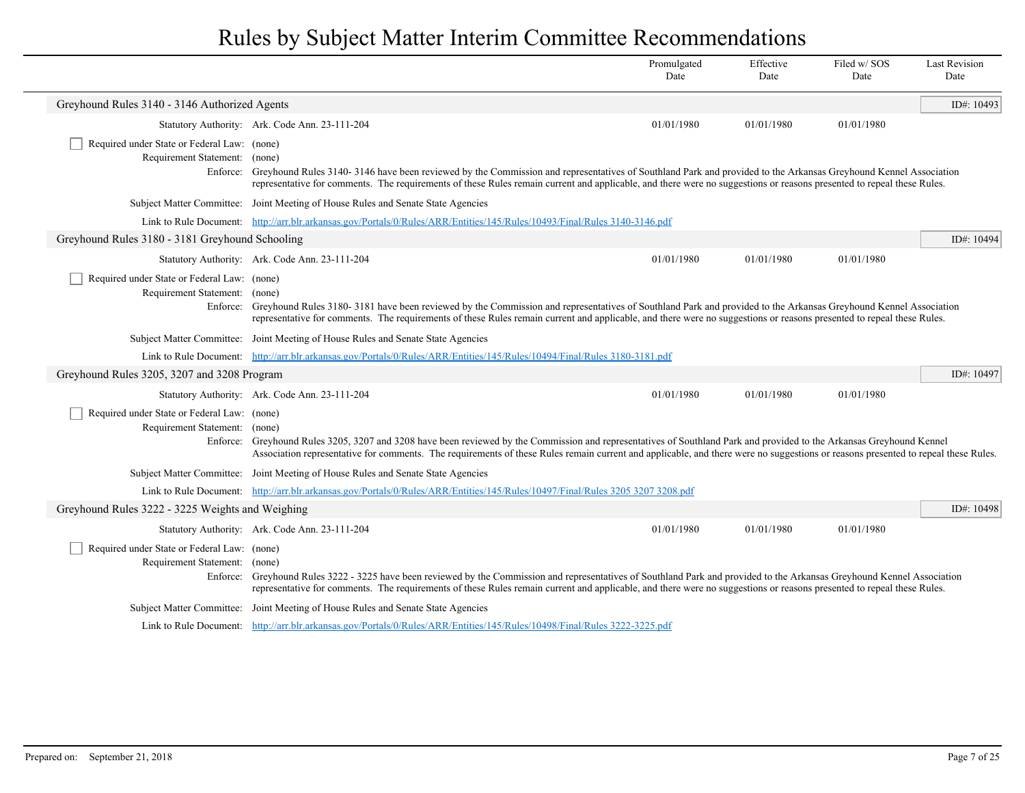|                                                                              |                                                                                                                                                                                                                                                                                                                                                            | Promulgated<br>Date | Effective<br>Date | Filed w/SOS<br>Date | <b>Last Revision</b><br>Date |
|------------------------------------------------------------------------------|------------------------------------------------------------------------------------------------------------------------------------------------------------------------------------------------------------------------------------------------------------------------------------------------------------------------------------------------------------|---------------------|-------------------|---------------------|------------------------------|
| Greyhound Rules 3140 - 3146 Authorized Agents                                |                                                                                                                                                                                                                                                                                                                                                            |                     |                   |                     | ID#: 10493                   |
|                                                                              | Statutory Authority: Ark. Code Ann. 23-111-204                                                                                                                                                                                                                                                                                                             | 01/01/1980          | 01/01/1980        | 01/01/1980          |                              |
| Required under State or Federal Law: (none)<br>Requirement Statement: (none) | Enforce: Greyhound Rules 3140-3146 have been reviewed by the Commission and representatives of Southland Park and provided to the Arkansas Greyhound Kennel Association<br>representative for comments. The requirements of these Rules remain current and applicable, and there were no suggestions or reasons presented to repeal these Rules.           |                     |                   |                     |                              |
|                                                                              | Subject Matter Committee: Joint Meeting of House Rules and Senate State Agencies                                                                                                                                                                                                                                                                           |                     |                   |                     |                              |
|                                                                              | Link to Rule Document: http://arr.blr.arkansas.gov/Portals/0/Rules/ARR/Entities/145/Rules/10493/Final/Rules 3140-3146.pdf                                                                                                                                                                                                                                  |                     |                   |                     |                              |
| Greyhound Rules 3180 - 3181 Greyhound Schooling                              |                                                                                                                                                                                                                                                                                                                                                            |                     |                   |                     | ID#: 10494                   |
|                                                                              | Statutory Authority: Ark. Code Ann. 23-111-204                                                                                                                                                                                                                                                                                                             | 01/01/1980          | 01/01/1980        | 01/01/1980          |                              |
| Required under State or Federal Law: (none)<br>Requirement Statement: (none) | Enforce: Greyhound Rules 3180-3181 have been reviewed by the Commission and representatives of Southland Park and provided to the Arkansas Greyhound Kennel Association<br>representative for comments. The requirements of these Rules remain current and applicable, and there were no suggestions or reasons presented to repeal these Rules.           |                     |                   |                     |                              |
|                                                                              | Subject Matter Committee: Joint Meeting of House Rules and Senate State Agencies                                                                                                                                                                                                                                                                           |                     |                   |                     |                              |
|                                                                              | Link to Rule Document: http://arr.blr.arkansas.gov/Portals/0/Rules/ARR/Entities/145/Rules/10494/Final/Rules 3180-3181.pdf                                                                                                                                                                                                                                  |                     |                   |                     |                              |
| Greyhound Rules 3205, 3207 and 3208 Program                                  |                                                                                                                                                                                                                                                                                                                                                            |                     |                   |                     | ID#: 10497                   |
|                                                                              | Statutory Authority: Ark. Code Ann. 23-111-204                                                                                                                                                                                                                                                                                                             | 01/01/1980          | 01/01/1980        | 01/01/1980          |                              |
| Required under State or Federal Law: (none)<br>Requirement Statement: (none) | Enforce: Greyhound Rules 3205, 3207 and 3208 have been reviewed by the Commission and representatives of Southland Park and provided to the Arkansas Greyhound Kennel<br>Association representative for comments. The requirements of these Rules remain current and applicable, and there were no suggestions or reasons presented to repeal these Rules. |                     |                   |                     |                              |
|                                                                              | Subject Matter Committee: Joint Meeting of House Rules and Senate State Agencies                                                                                                                                                                                                                                                                           |                     |                   |                     |                              |
|                                                                              | Link to Rule Document: http://arr.blr.arkansas.gov/Portals/0/Rules/ARR/Entities/145/Rules/10497/Final/Rules 3205 3207 3208.pdf                                                                                                                                                                                                                             |                     |                   |                     |                              |
| Greyhound Rules 3222 - 3225 Weights and Weighing                             |                                                                                                                                                                                                                                                                                                                                                            |                     |                   |                     | ID#: 10498                   |
|                                                                              | Statutory Authority: Ark. Code Ann. 23-111-204                                                                                                                                                                                                                                                                                                             | 01/01/1980          | 01/01/1980        | 01/01/1980          |                              |
| Required under State or Federal Law: (none)<br>Requirement Statement: (none) | Enforce: Greyhound Rules 3222 - 3225 have been reviewed by the Commission and representatives of Southland Park and provided to the Arkansas Greyhound Kennel Association<br>representative for comments. The requirements of these Rules remain current and applicable, and there were no suggestions or reasons presented to repeal these Rules.         |                     |                   |                     |                              |
|                                                                              | Subject Matter Committee: Joint Meeting of House Rules and Senate State Agencies                                                                                                                                                                                                                                                                           |                     |                   |                     |                              |
|                                                                              | Link to Rule Document: http://arr.blr.arkansas.gov/Portals/0/Rules/ARR/Entities/145/Rules/10498/Final/Rules 3222-3225.pdf                                                                                                                                                                                                                                  |                     |                   |                     |                              |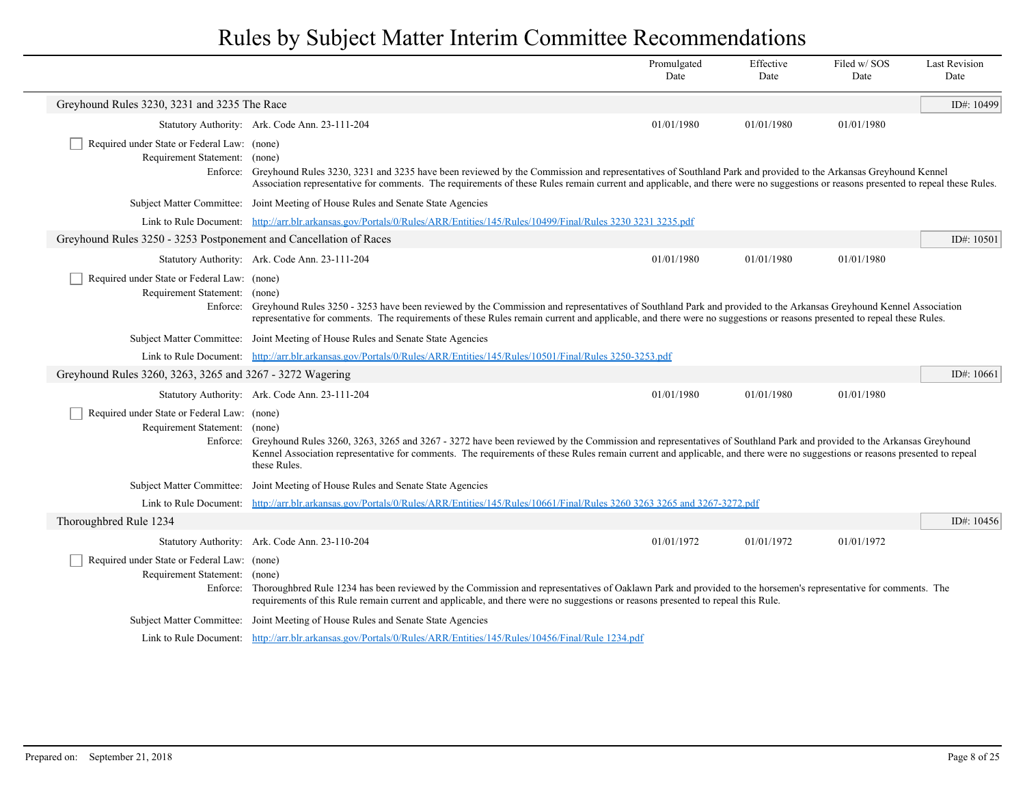|                                                                                          |                                                                                                                                                                                                                                                                                                                                                                                      | Promulgated<br>Date | Effective<br>Date | Filed w/SOS<br>Date | <b>Last Revision</b><br>Date |
|------------------------------------------------------------------------------------------|--------------------------------------------------------------------------------------------------------------------------------------------------------------------------------------------------------------------------------------------------------------------------------------------------------------------------------------------------------------------------------------|---------------------|-------------------|---------------------|------------------------------|
| Greyhound Rules 3230, 3231 and 3235 The Race                                             |                                                                                                                                                                                                                                                                                                                                                                                      |                     |                   |                     | ID#: 10499                   |
|                                                                                          | Statutory Authority: Ark. Code Ann. 23-111-204                                                                                                                                                                                                                                                                                                                                       | 01/01/1980          | 01/01/1980        | 01/01/1980          |                              |
| Required under State or Federal Law: (none)<br>Requirement Statement: (none)             | Enforce: Greyhound Rules 3230, 3231 and 3235 have been reviewed by the Commission and representatives of Southland Park and provided to the Arkansas Greyhound Kennel<br>Association representative for comments. The requirements of these Rules remain current and applicable, and there were no suggestions or reasons presented to repeal these Rules.                           |                     |                   |                     |                              |
|                                                                                          | Subject Matter Committee: Joint Meeting of House Rules and Senate State Agencies                                                                                                                                                                                                                                                                                                     |                     |                   |                     |                              |
|                                                                                          | Link to Rule Document: http://arr.blr.arkansas.gov/Portals/0/Rules/ARR/Entities/145/Rules/10499/Final/Rules 3230 3231 3235.pdf                                                                                                                                                                                                                                                       |                     |                   |                     |                              |
| Greyhound Rules 3250 - 3253 Postponement and Cancellation of Races                       |                                                                                                                                                                                                                                                                                                                                                                                      |                     |                   |                     | ID#: $10501$                 |
|                                                                                          | Statutory Authority: Ark. Code Ann. 23-111-204                                                                                                                                                                                                                                                                                                                                       | 01/01/1980          | 01/01/1980        | 01/01/1980          |                              |
| Required under State or Federal Law: (none)<br>Requirement Statement: (none)             | Enforce: Greyhound Rules 3250 - 3253 have been reviewed by the Commission and representatives of Southland Park and provided to the Arkansas Greyhound Kennel Association<br>representative for comments. The requirements of these Rules remain current and applicable, and there were no suggestions or reasons presented to repeal these Rules.                                   |                     |                   |                     |                              |
|                                                                                          | Subject Matter Committee: Joint Meeting of House Rules and Senate State Agencies                                                                                                                                                                                                                                                                                                     |                     |                   |                     |                              |
|                                                                                          | Link to Rule Document: http://arr.blr.arkansas.gov/Portals/0/Rules/ARR/Entities/145/Rules/10501/Final/Rules 3250-3253.pdf                                                                                                                                                                                                                                                            |                     |                   |                     |                              |
| Greyhound Rules 3260, 3263, 3265 and 3267 - 3272 Wagering                                |                                                                                                                                                                                                                                                                                                                                                                                      |                     |                   |                     | ID#: $10661$                 |
|                                                                                          | Statutory Authority: Ark. Code Ann. 23-111-204                                                                                                                                                                                                                                                                                                                                       | 01/01/1980          | 01/01/1980        | 01/01/1980          |                              |
| Required under State or Federal Law: (none)<br>Requirement Statement:                    | (none)<br>Enforce: Greyhound Rules 3260, 3263, 3265 and 3267 - 3272 have been reviewed by the Commission and representatives of Southland Park and provided to the Arkansas Greyhound<br>Kennel Association representative for comments. The requirements of these Rules remain current and applicable, and there were no suggestions or reasons presented to repeal<br>these Rules. |                     |                   |                     |                              |
|                                                                                          | Subject Matter Committee: Joint Meeting of House Rules and Senate State Agencies                                                                                                                                                                                                                                                                                                     |                     |                   |                     |                              |
|                                                                                          | Link to Rule Document: http://arr.blr.arkansas.gov/Portals/0/Rules/ARR/Entities/145/Rules/10661/Final/Rules 3260 3263 3265 and 3267-3272.pdf                                                                                                                                                                                                                                         |                     |                   |                     |                              |
| Thoroughbred Rule 1234                                                                   |                                                                                                                                                                                                                                                                                                                                                                                      |                     |                   |                     | ID#: 10456                   |
|                                                                                          | Statutory Authority: Ark. Code Ann. 23-110-204                                                                                                                                                                                                                                                                                                                                       | 01/01/1972          | 01/01/1972        | 01/01/1972          |                              |
| Required under State or Federal Law: (none)<br>Requirement Statement: (none)<br>Enforce: | Thoroughbred Rule 1234 has been reviewed by the Commission and representatives of Oaklawn Park and provided to the horsemen's representative for comments. The<br>requirements of this Rule remain current and applicable, and there were no suggestions or reasons presented to repeal this Rule.                                                                                   |                     |                   |                     |                              |
|                                                                                          | Subject Matter Committee: Joint Meeting of House Rules and Senate State Agencies                                                                                                                                                                                                                                                                                                     |                     |                   |                     |                              |
|                                                                                          | Link to Rule Document: http://arr.blr.arkansas.gov/Portals/0/Rules/ARR/Entities/145/Rules/10456/Final/Rule 1234.pdf                                                                                                                                                                                                                                                                  |                     |                   |                     |                              |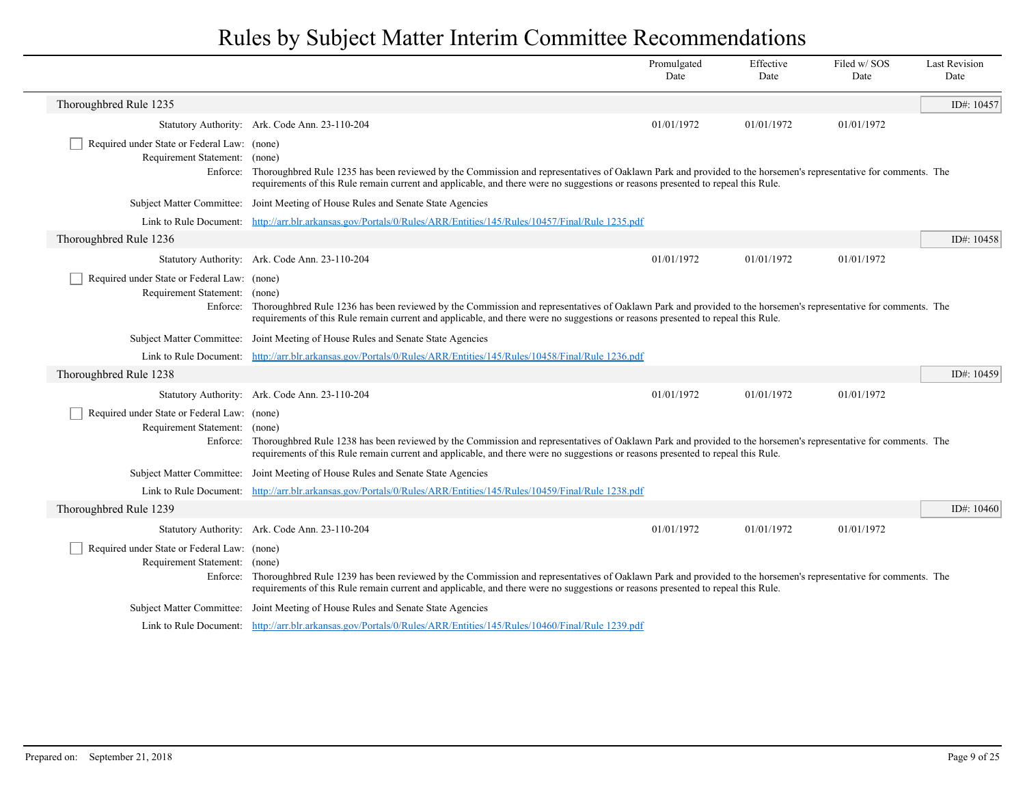|                                                                              |                                                                                                                                                                                                                                                                                                             | Promulgated<br>Date | Effective<br>Date | Filed w/ SOS<br>Date | <b>Last Revision</b><br>Date |
|------------------------------------------------------------------------------|-------------------------------------------------------------------------------------------------------------------------------------------------------------------------------------------------------------------------------------------------------------------------------------------------------------|---------------------|-------------------|----------------------|------------------------------|
| Thoroughbred Rule 1235                                                       |                                                                                                                                                                                                                                                                                                             |                     |                   |                      | ID#: 10457                   |
|                                                                              | Statutory Authority: Ark. Code Ann. 23-110-204                                                                                                                                                                                                                                                              | 01/01/1972          | 01/01/1972        | 01/01/1972           |                              |
| Required under State or Federal Law: (none)<br>Requirement Statement: (none) | Enforce: Thoroughbred Rule 1235 has been reviewed by the Commission and representatives of Oaklawn Park and provided to the horsemen's representative for comments. The<br>requirements of this Rule remain current and applicable, and there were no suggestions or reasons presented to repeal this Rule. |                     |                   |                      |                              |
|                                                                              | Subject Matter Committee: Joint Meeting of House Rules and Senate State Agencies                                                                                                                                                                                                                            |                     |                   |                      |                              |
|                                                                              | Link to Rule Document: http://arr.blr.arkansas.gov/Portals/0/Rules/ARR/Entities/145/Rules/10457/Final/Rule 1235.pdf                                                                                                                                                                                         |                     |                   |                      |                              |
| Thoroughbred Rule 1236                                                       |                                                                                                                                                                                                                                                                                                             |                     |                   |                      | ID#: 10458                   |
|                                                                              | Statutory Authority: Ark. Code Ann. 23-110-204                                                                                                                                                                                                                                                              | 01/01/1972          | 01/01/1972        | 01/01/1972           |                              |
| Required under State or Federal Law: (none)<br>Requirement Statement: (none) | Enforce: Thoroughbred Rule 1236 has been reviewed by the Commission and representatives of Oaklawn Park and provided to the horsemen's representative for comments. The<br>requirements of this Rule remain current and applicable, and there were no suggestions or reasons presented to repeal this Rule. |                     |                   |                      |                              |
|                                                                              | Subject Matter Committee: Joint Meeting of House Rules and Senate State Agencies                                                                                                                                                                                                                            |                     |                   |                      |                              |
|                                                                              | Link to Rule Document: http://arr.blr.arkansas.gov/Portals/0/Rules/ARR/Entities/145/Rules/10458/Final/Rule 1236.pdf                                                                                                                                                                                         |                     |                   |                      |                              |
| Thoroughbred Rule 1238                                                       |                                                                                                                                                                                                                                                                                                             |                     |                   |                      | ID#: 10459                   |
|                                                                              | Statutory Authority: Ark. Code Ann. 23-110-204                                                                                                                                                                                                                                                              | 01/01/1972          | 01/01/1972        | 01/01/1972           |                              |
| Required under State or Federal Law: (none)<br>Requirement Statement: (none) | Enforce: Thoroughbred Rule 1238 has been reviewed by the Commission and representatives of Oaklawn Park and provided to the horsemen's representative for comments. The<br>requirements of this Rule remain current and applicable, and there were no suggestions or reasons presented to repeal this Rule. |                     |                   |                      |                              |
|                                                                              | Subject Matter Committee: Joint Meeting of House Rules and Senate State Agencies                                                                                                                                                                                                                            |                     |                   |                      |                              |
|                                                                              | Link to Rule Document: http://arr.blr.arkansas.gov/Portals/0/Rules/ARR/Entities/145/Rules/10459/Final/Rule 1238.pdf                                                                                                                                                                                         |                     |                   |                      |                              |
| Thoroughbred Rule 1239                                                       |                                                                                                                                                                                                                                                                                                             |                     |                   |                      | ID#: $10460$                 |
|                                                                              | Statutory Authority: Ark. Code Ann. 23-110-204                                                                                                                                                                                                                                                              | 01/01/1972          | 01/01/1972        | 01/01/1972           |                              |
| Required under State or Federal Law: (none)<br>Requirement Statement: (none) | Enforce: Thoroughbred Rule 1239 has been reviewed by the Commission and representatives of Oaklawn Park and provided to the horsemen's representative for comments. The<br>requirements of this Rule remain current and applicable, and there were no suggestions or reasons presented to repeal this Rule. |                     |                   |                      |                              |
|                                                                              | Subject Matter Committee: Joint Meeting of House Rules and Senate State Agencies                                                                                                                                                                                                                            |                     |                   |                      |                              |
|                                                                              | Link to Rule Document: http://arr.blr.arkansas.gov/Portals/0/Rules/ARR/Entities/145/Rules/10460/Final/Rule 1239.pdf                                                                                                                                                                                         |                     |                   |                      |                              |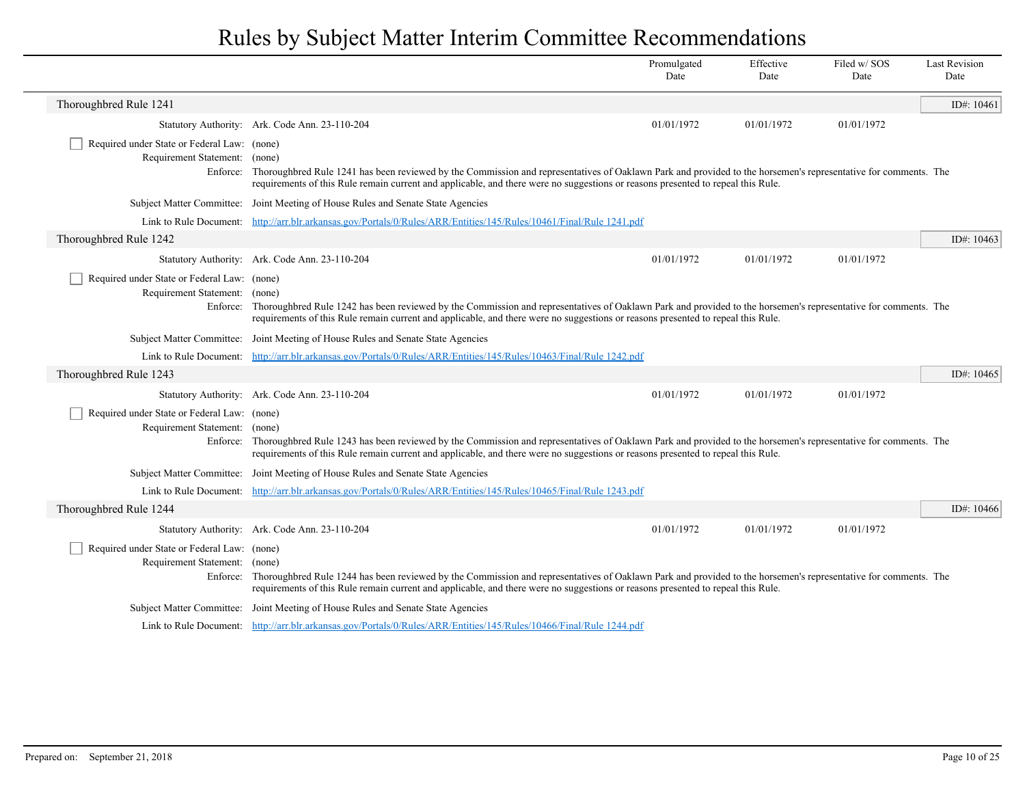|                                                                              |                                                                                                                                                                                                                                                                                                             | Promulgated<br>Date | Effective<br>Date | Filed w/ SOS<br>Date | <b>Last Revision</b><br>Date |
|------------------------------------------------------------------------------|-------------------------------------------------------------------------------------------------------------------------------------------------------------------------------------------------------------------------------------------------------------------------------------------------------------|---------------------|-------------------|----------------------|------------------------------|
| Thoroughbred Rule 1241                                                       |                                                                                                                                                                                                                                                                                                             |                     |                   |                      | ID#: $10461$                 |
|                                                                              | Statutory Authority: Ark. Code Ann. 23-110-204                                                                                                                                                                                                                                                              | 01/01/1972          | 01/01/1972        | 01/01/1972           |                              |
| Required under State or Federal Law: (none)<br>Requirement Statement: (none) | Enforce: Thoroughbred Rule 1241 has been reviewed by the Commission and representatives of Oaklawn Park and provided to the horsemen's representative for comments. The<br>requirements of this Rule remain current and applicable, and there were no suggestions or reasons presented to repeal this Rule. |                     |                   |                      |                              |
|                                                                              | Subject Matter Committee: Joint Meeting of House Rules and Senate State Agencies                                                                                                                                                                                                                            |                     |                   |                      |                              |
|                                                                              | Link to Rule Document: http://arr.blr.arkansas.gov/Portals/0/Rules/ARR/Entities/145/Rules/10461/Final/Rule 1241.pdf                                                                                                                                                                                         |                     |                   |                      |                              |
| Thoroughbred Rule 1242                                                       |                                                                                                                                                                                                                                                                                                             |                     |                   |                      | ID#: 10463                   |
|                                                                              | Statutory Authority: Ark. Code Ann. 23-110-204                                                                                                                                                                                                                                                              | 01/01/1972          | 01/01/1972        | 01/01/1972           |                              |
| Required under State or Federal Law: (none)<br>Requirement Statement: (none) | Enforce: Thoroughbred Rule 1242 has been reviewed by the Commission and representatives of Oaklawn Park and provided to the horsemen's representative for comments. The<br>requirements of this Rule remain current and applicable, and there were no suggestions or reasons presented to repeal this Rule. |                     |                   |                      |                              |
|                                                                              | Subject Matter Committee: Joint Meeting of House Rules and Senate State Agencies                                                                                                                                                                                                                            |                     |                   |                      |                              |
|                                                                              | Link to Rule Document: http://arr.blr.arkansas.gov/Portals/0/Rules/ARR/Entities/145/Rules/10463/Final/Rule 1242.pdf                                                                                                                                                                                         |                     |                   |                      |                              |
| Thoroughbred Rule 1243                                                       |                                                                                                                                                                                                                                                                                                             |                     |                   |                      | ID#: $10465$                 |
|                                                                              | Statutory Authority: Ark. Code Ann. 23-110-204                                                                                                                                                                                                                                                              | 01/01/1972          | 01/01/1972        | 01/01/1972           |                              |
| Required under State or Federal Law: (none)<br>Requirement Statement: (none) | Enforce: Thoroughbred Rule 1243 has been reviewed by the Commission and representatives of Oaklawn Park and provided to the horsemen's representative for comments. The<br>requirements of this Rule remain current and applicable, and there were no suggestions or reasons presented to repeal this Rule. |                     |                   |                      |                              |
|                                                                              | Subject Matter Committee: Joint Meeting of House Rules and Senate State Agencies                                                                                                                                                                                                                            |                     |                   |                      |                              |
|                                                                              | Link to Rule Document: http://arr.blr.arkansas.gov/Portals/0/Rules/ARR/Entities/145/Rules/10465/Final/Rule 1243.pdf                                                                                                                                                                                         |                     |                   |                      |                              |
| Thoroughbred Rule 1244                                                       |                                                                                                                                                                                                                                                                                                             |                     |                   |                      | ID#: $10466$                 |
|                                                                              | Statutory Authority: Ark. Code Ann. 23-110-204                                                                                                                                                                                                                                                              | 01/01/1972          | 01/01/1972        | 01/01/1972           |                              |
| Required under State or Federal Law: (none)<br>Requirement Statement: (none) | Enforce: Thoroughbred Rule 1244 has been reviewed by the Commission and representatives of Oaklawn Park and provided to the horsemen's representative for comments. The<br>requirements of this Rule remain current and applicable, and there were no suggestions or reasons presented to repeal this Rule. |                     |                   |                      |                              |
|                                                                              | Subject Matter Committee: Joint Meeting of House Rules and Senate State Agencies                                                                                                                                                                                                                            |                     |                   |                      |                              |
|                                                                              | Link to Rule Document: http://arr.blr.arkansas.gov/Portals/0/Rules/ARR/Entities/145/Rules/10466/Final/Rule 1244.pdf                                                                                                                                                                                         |                     |                   |                      |                              |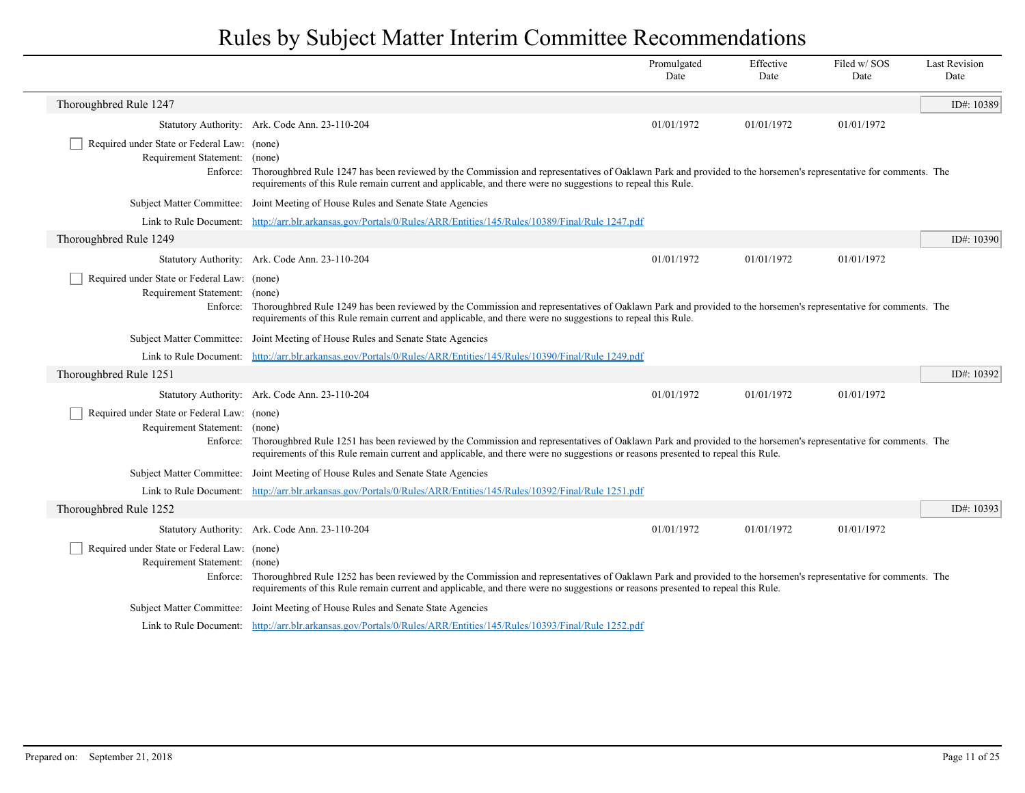|                                                                              |                                                                                                                                                                                                                                                                                                             | Promulgated<br>Date | Effective<br>Date | Filed w/SOS<br>Date | <b>Last Revision</b><br>Date |
|------------------------------------------------------------------------------|-------------------------------------------------------------------------------------------------------------------------------------------------------------------------------------------------------------------------------------------------------------------------------------------------------------|---------------------|-------------------|---------------------|------------------------------|
| Thoroughbred Rule 1247                                                       |                                                                                                                                                                                                                                                                                                             |                     |                   |                     | ID#: 10389                   |
|                                                                              | Statutory Authority: Ark. Code Ann. 23-110-204                                                                                                                                                                                                                                                              | 01/01/1972          | 01/01/1972        | 01/01/1972          |                              |
| Required under State or Federal Law: (none)<br>Requirement Statement: (none) | Enforce: Thoroughbred Rule 1247 has been reviewed by the Commission and representatives of Oaklawn Park and provided to the horsemen's representative for comments. The<br>requirements of this Rule remain current and applicable, and there were no suggestions to repeal this Rule.                      |                     |                   |                     |                              |
|                                                                              | Subject Matter Committee: Joint Meeting of House Rules and Senate State Agencies                                                                                                                                                                                                                            |                     |                   |                     |                              |
|                                                                              | Link to Rule Document: http://arr.blr.arkansas.gov/Portals/0/Rules/ARR/Entities/145/Rules/10389/Final/Rule 1247.pdf                                                                                                                                                                                         |                     |                   |                     |                              |
| Thoroughbred Rule 1249                                                       |                                                                                                                                                                                                                                                                                                             |                     |                   |                     | ID#: 10390                   |
|                                                                              | Statutory Authority: Ark. Code Ann. 23-110-204                                                                                                                                                                                                                                                              | 01/01/1972          | 01/01/1972        | 01/01/1972          |                              |
| Required under State or Federal Law: (none)<br>Requirement Statement: (none) | Enforce: Thoroughbred Rule 1249 has been reviewed by the Commission and representatives of Oaklawn Park and provided to the horsemen's representative for comments. The<br>requirements of this Rule remain current and applicable, and there were no suggestions to repeal this Rule.                      |                     |                   |                     |                              |
|                                                                              | Subject Matter Committee: Joint Meeting of House Rules and Senate State Agencies                                                                                                                                                                                                                            |                     |                   |                     |                              |
|                                                                              | Link to Rule Document: http://arr.blr.arkansas.gov/Portals/0/Rules/ARR/Entities/145/Rules/10390/Final/Rule 1249.pdf                                                                                                                                                                                         |                     |                   |                     |                              |
| Thoroughbred Rule 1251                                                       |                                                                                                                                                                                                                                                                                                             |                     |                   |                     | ID#: 10392                   |
|                                                                              | Statutory Authority: Ark. Code Ann. 23-110-204                                                                                                                                                                                                                                                              | 01/01/1972          | 01/01/1972        | 01/01/1972          |                              |
| Required under State or Federal Law: (none)<br>Requirement Statement: (none) | Enforce: Thoroughbred Rule 1251 has been reviewed by the Commission and representatives of Oaklawn Park and provided to the horsemen's representative for comments. The<br>requirements of this Rule remain current and applicable, and there were no suggestions or reasons presented to repeal this Rule. |                     |                   |                     |                              |
|                                                                              | Subject Matter Committee: Joint Meeting of House Rules and Senate State Agencies                                                                                                                                                                                                                            |                     |                   |                     |                              |
|                                                                              | Link to Rule Document: http://arr.blr.arkansas.gov/Portals/0/Rules/ARR/Entities/145/Rules/10392/Final/Rule 1251.pdf                                                                                                                                                                                         |                     |                   |                     |                              |
| Thoroughbred Rule 1252                                                       |                                                                                                                                                                                                                                                                                                             |                     |                   |                     | ID#: $10393$                 |
|                                                                              | Statutory Authority: Ark. Code Ann. 23-110-204                                                                                                                                                                                                                                                              | 01/01/1972          | 01/01/1972        | 01/01/1972          |                              |
| Required under State or Federal Law: (none)<br>Requirement Statement: (none) | Enforce: Thoroughbred Rule 1252 has been reviewed by the Commission and representatives of Oaklawn Park and provided to the horsemen's representative for comments. The<br>requirements of this Rule remain current and applicable, and there were no suggestions or reasons presented to repeal this Rule. |                     |                   |                     |                              |
|                                                                              | Subject Matter Committee: Joint Meeting of House Rules and Senate State Agencies                                                                                                                                                                                                                            |                     |                   |                     |                              |
|                                                                              | Link to Rule Document: http://arr.blr.arkansas.gov/Portals/0/Rules/ARR/Entities/145/Rules/10393/Final/Rule 1252.pdf                                                                                                                                                                                         |                     |                   |                     |                              |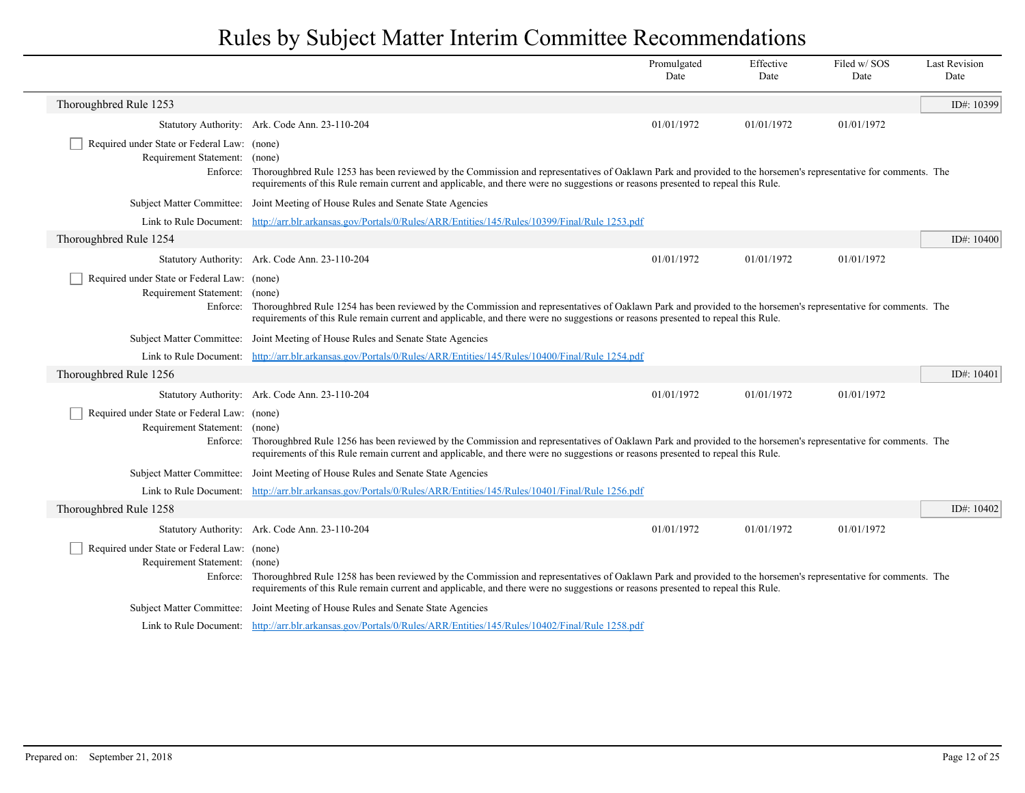|                                                                              |                                                                                                                                                                                                                                                                                                             | Promulgated<br>Date | Effective<br>Date | Filed w/ SOS<br>Date | <b>Last Revision</b><br>Date |
|------------------------------------------------------------------------------|-------------------------------------------------------------------------------------------------------------------------------------------------------------------------------------------------------------------------------------------------------------------------------------------------------------|---------------------|-------------------|----------------------|------------------------------|
| Thoroughbred Rule 1253                                                       |                                                                                                                                                                                                                                                                                                             |                     |                   |                      | ID#: 10399                   |
|                                                                              | Statutory Authority: Ark. Code Ann. 23-110-204                                                                                                                                                                                                                                                              | 01/01/1972          | 01/01/1972        | 01/01/1972           |                              |
| Required under State or Federal Law: (none)<br>Requirement Statement: (none) | Enforce: Thoroughbred Rule 1253 has been reviewed by the Commission and representatives of Oaklawn Park and provided to the horsemen's representative for comments. The<br>requirements of this Rule remain current and applicable, and there were no suggestions or reasons presented to repeal this Rule. |                     |                   |                      |                              |
|                                                                              | Subject Matter Committee: Joint Meeting of House Rules and Senate State Agencies                                                                                                                                                                                                                            |                     |                   |                      |                              |
|                                                                              | Link to Rule Document: http://arr.blr.arkansas.gov/Portals/0/Rules/ARR/Entities/145/Rules/10399/Final/Rule 1253.pdf                                                                                                                                                                                         |                     |                   |                      |                              |
| Thoroughbred Rule 1254                                                       |                                                                                                                                                                                                                                                                                                             |                     |                   |                      | ID#: $10400$                 |
|                                                                              | Statutory Authority: Ark. Code Ann. 23-110-204                                                                                                                                                                                                                                                              | 01/01/1972          | 01/01/1972        | 01/01/1972           |                              |
| Required under State or Federal Law: (none)<br>Requirement Statement: (none) | Enforce: Thoroughbred Rule 1254 has been reviewed by the Commission and representatives of Oaklawn Park and provided to the horsemen's representative for comments. The<br>requirements of this Rule remain current and applicable, and there were no suggestions or reasons presented to repeal this Rule. |                     |                   |                      |                              |
|                                                                              | Subject Matter Committee: Joint Meeting of House Rules and Senate State Agencies                                                                                                                                                                                                                            |                     |                   |                      |                              |
|                                                                              | Link to Rule Document: http://arr.blr.arkansas.gov/Portals/0/Rules/ARR/Entities/145/Rules/10400/Final/Rule 1254.pdf                                                                                                                                                                                         |                     |                   |                      |                              |
| Thoroughbred Rule 1256                                                       |                                                                                                                                                                                                                                                                                                             |                     |                   |                      | ID#: $10401$                 |
|                                                                              | Statutory Authority: Ark. Code Ann. 23-110-204                                                                                                                                                                                                                                                              | 01/01/1972          | 01/01/1972        | 01/01/1972           |                              |
| Required under State or Federal Law: (none)<br>Requirement Statement: (none) | Enforce: Thoroughbred Rule 1256 has been reviewed by the Commission and representatives of Oaklawn Park and provided to the horsemen's representative for comments. The<br>requirements of this Rule remain current and applicable, and there were no suggestions or reasons presented to repeal this Rule. |                     |                   |                      |                              |
|                                                                              | Subject Matter Committee: Joint Meeting of House Rules and Senate State Agencies                                                                                                                                                                                                                            |                     |                   |                      |                              |
|                                                                              | Link to Rule Document: http://arr.blr.arkansas.gov/Portals/0/Rules/ARR/Entities/145/Rules/10401/Final/Rule 1256.pdf                                                                                                                                                                                         |                     |                   |                      |                              |
| Thoroughbred Rule 1258                                                       |                                                                                                                                                                                                                                                                                                             |                     |                   |                      | ID#: $10402$                 |
|                                                                              | Statutory Authority: Ark. Code Ann. 23-110-204                                                                                                                                                                                                                                                              | 01/01/1972          | 01/01/1972        | 01/01/1972           |                              |
| Required under State or Federal Law: (none)<br>Requirement Statement: (none) | Enforce: Thoroughbred Rule 1258 has been reviewed by the Commission and representatives of Oaklawn Park and provided to the horsemen's representative for comments. The<br>requirements of this Rule remain current and applicable, and there were no suggestions or reasons presented to repeal this Rule. |                     |                   |                      |                              |
|                                                                              | Subject Matter Committee: Joint Meeting of House Rules and Senate State Agencies                                                                                                                                                                                                                            |                     |                   |                      |                              |
|                                                                              | Link to Rule Document: http://arr.blr.arkansas.gov/Portals/0/Rules/ARR/Entities/145/Rules/10402/Final/Rule 1258.pdf                                                                                                                                                                                         |                     |                   |                      |                              |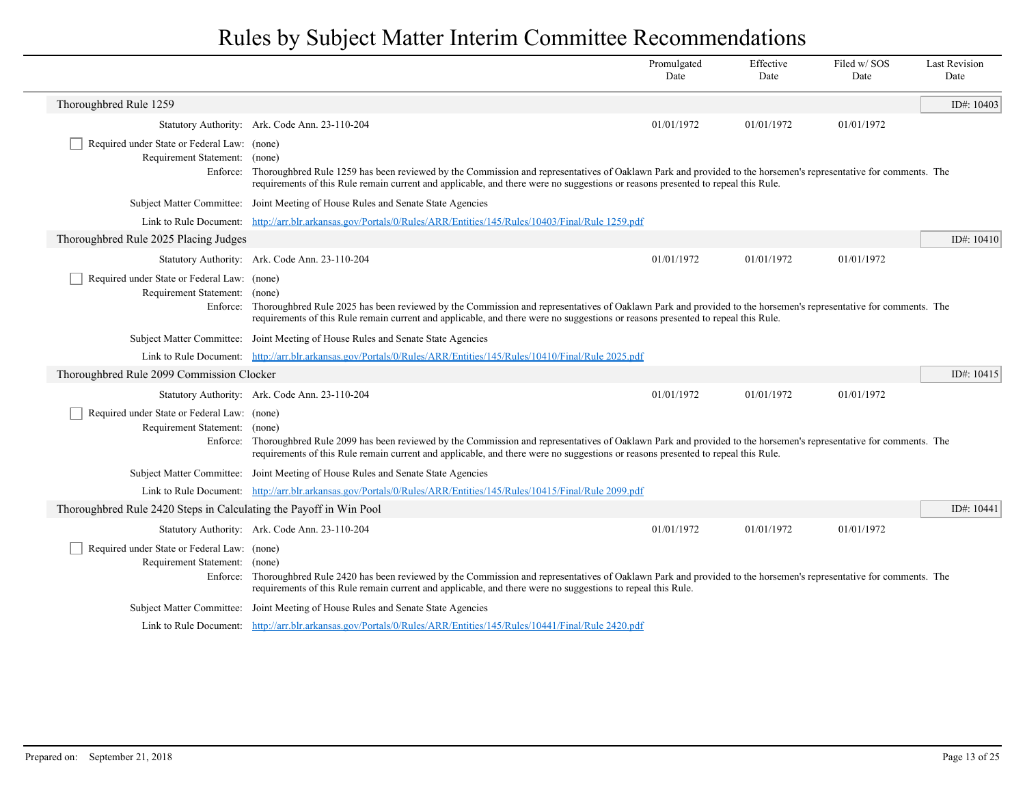|                                                                              |                                                                                                                                                                                                                                                                                                             | Promulgated<br>Date | Effective<br>Date | Filed w/SOS<br>Date | <b>Last Revision</b><br>Date |  |
|------------------------------------------------------------------------------|-------------------------------------------------------------------------------------------------------------------------------------------------------------------------------------------------------------------------------------------------------------------------------------------------------------|---------------------|-------------------|---------------------|------------------------------|--|
| Thoroughbred Rule 1259                                                       |                                                                                                                                                                                                                                                                                                             |                     |                   |                     | ID#: $10403$                 |  |
|                                                                              | Statutory Authority: Ark. Code Ann. 23-110-204                                                                                                                                                                                                                                                              | 01/01/1972          | 01/01/1972        | 01/01/1972          |                              |  |
| Required under State or Federal Law: (none)<br>Requirement Statement: (none) | Enforce: Thoroughbred Rule 1259 has been reviewed by the Commission and representatives of Oaklawn Park and provided to the horsemen's representative for comments. The<br>requirements of this Rule remain current and applicable, and there were no suggestions or reasons presented to repeal this Rule. |                     |                   |                     |                              |  |
|                                                                              | Subject Matter Committee: Joint Meeting of House Rules and Senate State Agencies                                                                                                                                                                                                                            |                     |                   |                     |                              |  |
|                                                                              | Link to Rule Document: http://arr.blr.arkansas.gov/Portals/0/Rules/ARR/Entities/145/Rules/10403/Final/Rule 1259.pdf                                                                                                                                                                                         |                     |                   |                     |                              |  |
| Thoroughbred Rule 2025 Placing Judges                                        |                                                                                                                                                                                                                                                                                                             |                     |                   |                     | ID#: $10410$                 |  |
|                                                                              | Statutory Authority: Ark. Code Ann. 23-110-204                                                                                                                                                                                                                                                              | 01/01/1972          | 01/01/1972        | 01/01/1972          |                              |  |
| Required under State or Federal Law: (none)<br>Requirement Statement: (none) | Enforce: Thoroughbred Rule 2025 has been reviewed by the Commission and representatives of Oaklawn Park and provided to the horsemen's representative for comments. The<br>requirements of this Rule remain current and applicable, and there were no suggestions or reasons presented to repeal this Rule. |                     |                   |                     |                              |  |
|                                                                              | Subject Matter Committee: Joint Meeting of House Rules and Senate State Agencies                                                                                                                                                                                                                            |                     |                   |                     |                              |  |
|                                                                              | Link to Rule Document: http://arr.blr.arkansas.gov/Portals/0/Rules/ARR/Entities/145/Rules/10410/Final/Rule 2025.pdf                                                                                                                                                                                         |                     |                   |                     |                              |  |
| Thoroughbred Rule 2099 Commission Clocker                                    |                                                                                                                                                                                                                                                                                                             |                     |                   |                     | ID#: $10415$                 |  |
|                                                                              | Statutory Authority: Ark. Code Ann. 23-110-204                                                                                                                                                                                                                                                              | 01/01/1972          | 01/01/1972        | 01/01/1972          |                              |  |
| Required under State or Federal Law: (none)<br>Requirement Statement: (none) | Enforce: Thoroughbred Rule 2099 has been reviewed by the Commission and representatives of Oaklawn Park and provided to the horsemen's representative for comments. The<br>requirements of this Rule remain current and applicable, and there were no suggestions or reasons presented to repeal this Rule. |                     |                   |                     |                              |  |
|                                                                              | Subject Matter Committee: Joint Meeting of House Rules and Senate State Agencies                                                                                                                                                                                                                            |                     |                   |                     |                              |  |
|                                                                              | Link to Rule Document: http://arr.blr.arkansas.gov/Portals/0/Rules/ARR/Entities/145/Rules/10415/Final/Rule 2099.pdf                                                                                                                                                                                         |                     |                   |                     |                              |  |
| Thoroughbred Rule 2420 Steps in Calculating the Payoff in Win Pool           |                                                                                                                                                                                                                                                                                                             |                     |                   |                     | ID#: 10441                   |  |
|                                                                              | Statutory Authority: Ark. Code Ann. 23-110-204                                                                                                                                                                                                                                                              | 01/01/1972          | 01/01/1972        | 01/01/1972          |                              |  |
| Required under State or Federal Law: (none)<br>Requirement Statement: (none) | Enforce: Thoroughbred Rule 2420 has been reviewed by the Commission and representatives of Oaklawn Park and provided to the horsemen's representative for comments. The<br>requirements of this Rule remain current and applicable, and there were no suggestions to repeal this Rule.                      |                     |                   |                     |                              |  |
|                                                                              | Subject Matter Committee: Joint Meeting of House Rules and Senate State Agencies                                                                                                                                                                                                                            |                     |                   |                     |                              |  |
|                                                                              | Link to Rule Document: http://arr.blr.arkansas.gov/Portals/0/Rules/ARR/Entities/145/Rules/10441/Final/Rule 2420.pdf                                                                                                                                                                                         |                     |                   |                     |                              |  |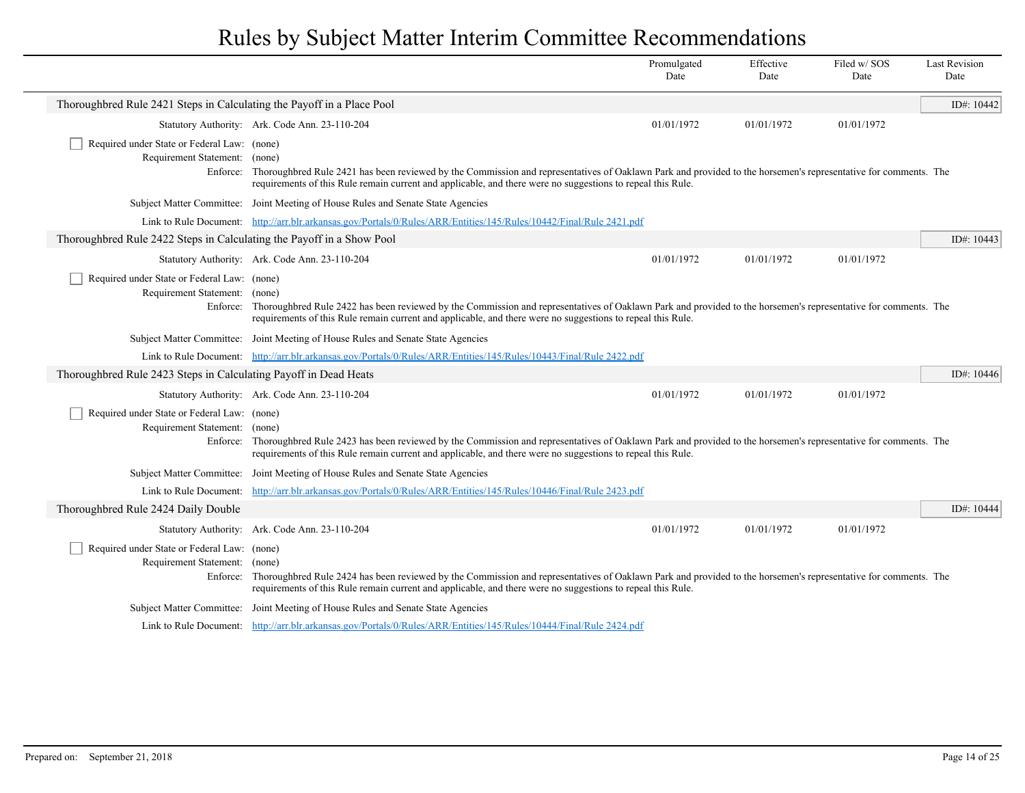|                                                                              |                                                                                                                                                                                                                                                                                        | Promulgated<br>Date | Effective<br>Date | Filed w/SOS<br>Date | <b>Last Revision</b><br>Date |
|------------------------------------------------------------------------------|----------------------------------------------------------------------------------------------------------------------------------------------------------------------------------------------------------------------------------------------------------------------------------------|---------------------|-------------------|---------------------|------------------------------|
| Thoroughbred Rule 2421 Steps in Calculating the Payoff in a Place Pool       |                                                                                                                                                                                                                                                                                        |                     |                   |                     | ID#: 10442                   |
|                                                                              | Statutory Authority: Ark. Code Ann. 23-110-204                                                                                                                                                                                                                                         | 01/01/1972          | 01/01/1972        | 01/01/1972          |                              |
| Required under State or Federal Law: (none)<br>Requirement Statement: (none) | Enforce: Thoroughbred Rule 2421 has been reviewed by the Commission and representatives of Oaklawn Park and provided to the horsemen's representative for comments. The<br>requirements of this Rule remain current and applicable, and there were no suggestions to repeal this Rule. |                     |                   |                     |                              |
|                                                                              | Subject Matter Committee: Joint Meeting of House Rules and Senate State Agencies                                                                                                                                                                                                       |                     |                   |                     |                              |
|                                                                              | Link to Rule Document: http://arr.blr.arkansas.gov/Portals/0/Rules/ARR/Entities/145/Rules/10442/Final/Rule 2421.pdf                                                                                                                                                                    |                     |                   |                     |                              |
| Thoroughbred Rule 2422 Steps in Calculating the Payoff in a Show Pool        |                                                                                                                                                                                                                                                                                        |                     |                   |                     | ID#: 10443                   |
|                                                                              | Statutory Authority: Ark. Code Ann. 23-110-204                                                                                                                                                                                                                                         | 01/01/1972          | 01/01/1972        | 01/01/1972          |                              |
| Required under State or Federal Law: (none)<br>Requirement Statement: (none) | Enforce: Thoroughbred Rule 2422 has been reviewed by the Commission and representatives of Oaklawn Park and provided to the horsemen's representative for comments. The<br>requirements of this Rule remain current and applicable, and there were no suggestions to repeal this Rule. |                     |                   |                     |                              |
|                                                                              | Subject Matter Committee: Joint Meeting of House Rules and Senate State Agencies                                                                                                                                                                                                       |                     |                   |                     |                              |
|                                                                              | Link to Rule Document: http://arr.blr.arkansas.gov/Portals/0/Rules/ARR/Entities/145/Rules/10443/Final/Rule 2422.pdf                                                                                                                                                                    |                     |                   |                     |                              |
| Thoroughbred Rule 2423 Steps in Calculating Payoff in Dead Heats             |                                                                                                                                                                                                                                                                                        |                     |                   |                     | ID#: $10446$                 |
|                                                                              | Statutory Authority: Ark. Code Ann. 23-110-204                                                                                                                                                                                                                                         | 01/01/1972          | 01/01/1972        | 01/01/1972          |                              |
| Required under State or Federal Law: (none)<br>Requirement Statement: (none) | Enforce: Thoroughbred Rule 2423 has been reviewed by the Commission and representatives of Oaklawn Park and provided to the horsemen's representative for comments. The<br>requirements of this Rule remain current and applicable, and there were no suggestions to repeal this Rule. |                     |                   |                     |                              |
|                                                                              | Subject Matter Committee: Joint Meeting of House Rules and Senate State Agencies                                                                                                                                                                                                       |                     |                   |                     |                              |
| Link to Rule Document:                                                       | http://arr.blr.arkansas.gov/Portals/0/Rules/ARR/Entities/145/Rules/10446/Final/Rule 2423.pdf                                                                                                                                                                                           |                     |                   |                     |                              |
| Thoroughbred Rule 2424 Daily Double                                          |                                                                                                                                                                                                                                                                                        |                     |                   |                     | ID#: 10444                   |
|                                                                              | Statutory Authority: Ark. Code Ann. 23-110-204                                                                                                                                                                                                                                         | 01/01/1972          | 01/01/1972        | 01/01/1972          |                              |
| Required under State or Federal Law: (none)<br>Requirement Statement: (none) | Enforce: Thoroughbred Rule 2424 has been reviewed by the Commission and representatives of Oaklawn Park and provided to the horsemen's representative for comments. The<br>requirements of this Rule remain current and applicable, and there were no suggestions to repeal this Rule. |                     |                   |                     |                              |
|                                                                              | Subject Matter Committee: Joint Meeting of House Rules and Senate State Agencies                                                                                                                                                                                                       |                     |                   |                     |                              |
|                                                                              | Link to Rule Document: http://arr.blr.arkansas.gov/Portals/0/Rules/ARR/Entities/145/Rules/10444/Final/Rule 2424.pdf                                                                                                                                                                    |                     |                   |                     |                              |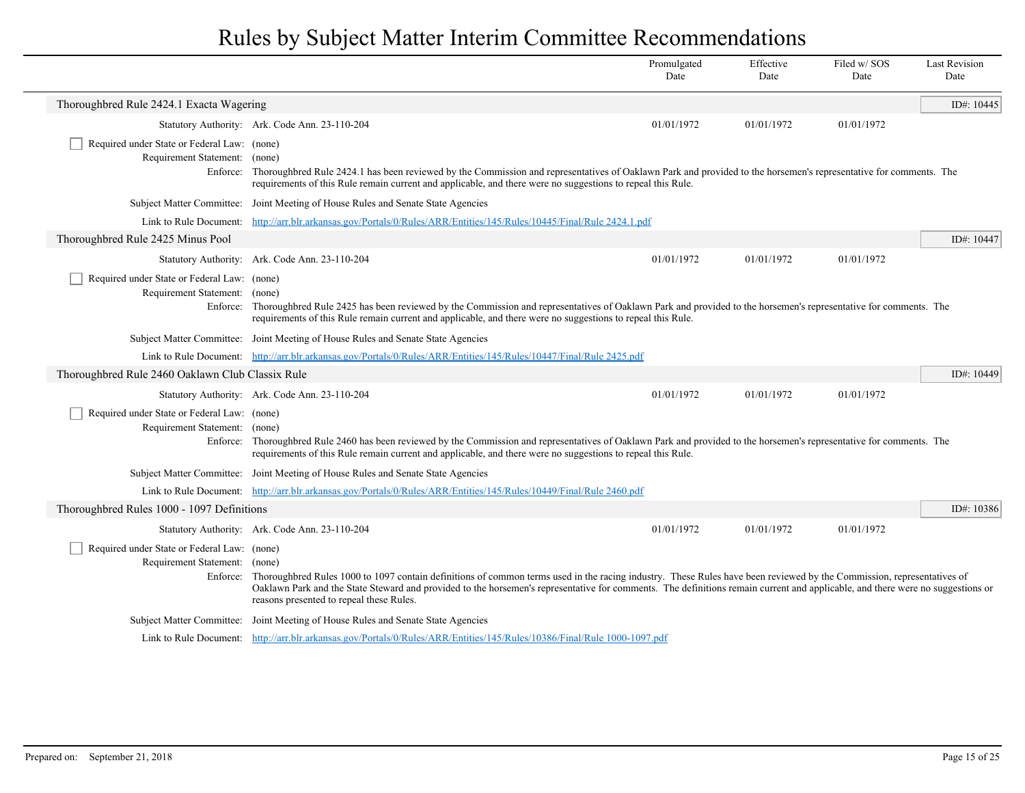|                                                                              |                                                                                                                                                                                                                                                                                                                                                                                                              | Promulgated<br>Date | Effective<br>Date | Filed w/SOS<br>Date | <b>Last Revision</b><br>Date |
|------------------------------------------------------------------------------|--------------------------------------------------------------------------------------------------------------------------------------------------------------------------------------------------------------------------------------------------------------------------------------------------------------------------------------------------------------------------------------------------------------|---------------------|-------------------|---------------------|------------------------------|
| Thoroughbred Rule 2424.1 Exacta Wagering                                     |                                                                                                                                                                                                                                                                                                                                                                                                              |                     |                   |                     | ID#: 10445                   |
|                                                                              | Statutory Authority: Ark. Code Ann. 23-110-204                                                                                                                                                                                                                                                                                                                                                               | 01/01/1972          | 01/01/1972        | 01/01/1972          |                              |
| Required under State or Federal Law: (none)<br>Requirement Statement: (none) | Enforce: Thoroughbred Rule 2424.1 has been reviewed by the Commission and representatives of Oaklawn Park and provided to the horsemen's representative for comments. The<br>requirements of this Rule remain current and applicable, and there were no suggestions to repeal this Rule.                                                                                                                     |                     |                   |                     |                              |
|                                                                              | Subject Matter Committee: Joint Meeting of House Rules and Senate State Agencies                                                                                                                                                                                                                                                                                                                             |                     |                   |                     |                              |
|                                                                              | Link to Rule Document: http://arr.blr.arkansas.gov/Portals/0/Rules/ARR/Entities/145/Rules/10445/Final/Rule 2424.1.pdf                                                                                                                                                                                                                                                                                        |                     |                   |                     |                              |
| Thoroughbred Rule 2425 Minus Pool                                            |                                                                                                                                                                                                                                                                                                                                                                                                              |                     |                   |                     | ID#: 10447                   |
|                                                                              | Statutory Authority: Ark. Code Ann. 23-110-204                                                                                                                                                                                                                                                                                                                                                               | 01/01/1972          | 01/01/1972        | 01/01/1972          |                              |
| Required under State or Federal Law: (none)<br>Requirement Statement: (none) | Enforce: Thoroughbred Rule 2425 has been reviewed by the Commission and representatives of Oaklawn Park and provided to the horsemen's representative for comments. The<br>requirements of this Rule remain current and applicable, and there were no suggestions to repeal this Rule.                                                                                                                       |                     |                   |                     |                              |
|                                                                              | Subject Matter Committee: Joint Meeting of House Rules and Senate State Agencies                                                                                                                                                                                                                                                                                                                             |                     |                   |                     |                              |
|                                                                              | Link to Rule Document: http://arr.blr.arkansas.gov/Portals/0/Rules/ARR/Entities/145/Rules/10447/Final/Rule 2425.pdf                                                                                                                                                                                                                                                                                          |                     |                   |                     |                              |
| Thoroughbred Rule 2460 Oaklawn Club Classix Rule                             |                                                                                                                                                                                                                                                                                                                                                                                                              |                     |                   |                     | ID#: 10449                   |
|                                                                              | Statutory Authority: Ark. Code Ann. 23-110-204                                                                                                                                                                                                                                                                                                                                                               | 01/01/1972          | 01/01/1972        | 01/01/1972          |                              |
| Required under State or Federal Law: (none)<br>Requirement Statement: (none) | Enforce: Thoroughbred Rule 2460 has been reviewed by the Commission and representatives of Oaklawn Park and provided to the horsemen's representative for comments. The<br>requirements of this Rule remain current and applicable, and there were no suggestions to repeal this Rule.                                                                                                                       |                     |                   |                     |                              |
|                                                                              | Subject Matter Committee: Joint Meeting of House Rules and Senate State Agencies                                                                                                                                                                                                                                                                                                                             |                     |                   |                     |                              |
|                                                                              | Link to Rule Document: http://arr.blr.arkansas.gov/Portals/0/Rules/ARR/Entities/145/Rules/10449/Final/Rule 2460.pdf                                                                                                                                                                                                                                                                                          |                     |                   |                     |                              |
| Thoroughbred Rules 1000 - 1097 Definitions                                   |                                                                                                                                                                                                                                                                                                                                                                                                              |                     |                   |                     | ID#: 10386                   |
|                                                                              | Statutory Authority: Ark. Code Ann. 23-110-204                                                                                                                                                                                                                                                                                                                                                               | 01/01/1972          | 01/01/1972        | 01/01/1972          |                              |
| Required under State or Federal Law: (none)<br>Requirement Statement: (none) | Enforce: Thoroughbred Rules 1000 to 1097 contain definitions of common terms used in the racing industry. These Rules have been reviewed by the Commission, representatives of<br>Oaklawn Park and the State Steward and provided to the horsemen's representative for comments. The definitions remain current and applicable, and there were no suggestions or<br>reasons presented to repeal these Rules. |                     |                   |                     |                              |
|                                                                              | Subject Matter Committee: Joint Meeting of House Rules and Senate State Agencies                                                                                                                                                                                                                                                                                                                             |                     |                   |                     |                              |
|                                                                              | Link to Rule Document: http://arr.blr.arkansas.gov/Portals/0/Rules/ARR/Entities/145/Rules/10386/Final/Rule 1000-1097.pdf                                                                                                                                                                                                                                                                                     |                     |                   |                     |                              |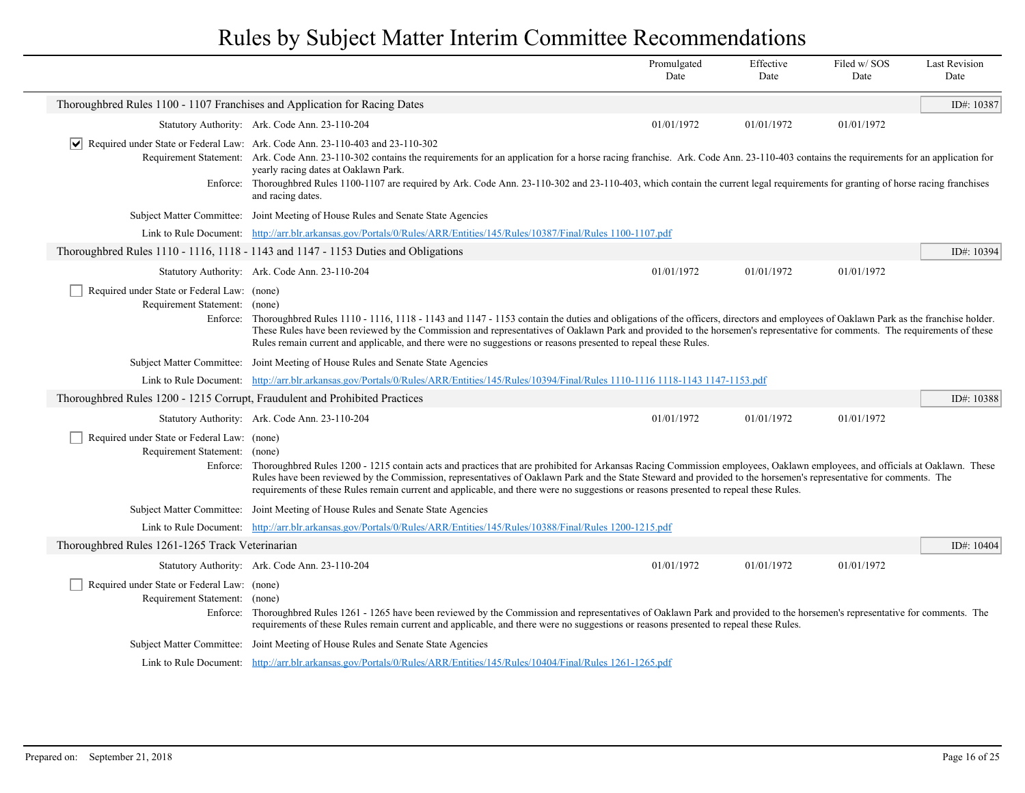|                                                                              |                                                                                                                                                                                                                                                                                                                                                                                                                                                                                                                                              | Promulgated<br>Date | Effective<br>Date | Filed w/SOS<br>Date | <b>Last Revision</b><br>Date |
|------------------------------------------------------------------------------|----------------------------------------------------------------------------------------------------------------------------------------------------------------------------------------------------------------------------------------------------------------------------------------------------------------------------------------------------------------------------------------------------------------------------------------------------------------------------------------------------------------------------------------------|---------------------|-------------------|---------------------|------------------------------|
| Thoroughbred Rules 1100 - 1107 Franchises and Application for Racing Dates   |                                                                                                                                                                                                                                                                                                                                                                                                                                                                                                                                              |                     |                   |                     | ID#: 10387                   |
|                                                                              | Statutory Authority: Ark. Code Ann. 23-110-204                                                                                                                                                                                                                                                                                                                                                                                                                                                                                               | 01/01/1972          | 01/01/1972        | 01/01/1972          |                              |
| $ \bm{\mathsf{v}} $                                                          | Required under State or Federal Law: Ark. Code Ann. 23-110-403 and 23-110-302<br>Requirement Statement: Ark. Code Ann. 23-110-302 contains the requirements for an application for a horse racing franchise. Ark. Code Ann. 23-110-403 contains the requirements for an application for<br>yearly racing dates at Oaklawn Park.<br>Enforce: Thoroughbred Rules 1100-1107 are required by Ark. Code Ann. 23-110-302 and 23-110-403, which contain the current legal requirements for granting of horse racing franchises<br>and racing dates. |                     |                   |                     |                              |
|                                                                              | Subject Matter Committee: Joint Meeting of House Rules and Senate State Agencies                                                                                                                                                                                                                                                                                                                                                                                                                                                             |                     |                   |                     |                              |
|                                                                              | Link to Rule Document: http://arr.blr.arkansas.gov/Portals/0/Rules/ARR/Entities/145/Rules/10387/Final/Rules 1100-1107.pdf                                                                                                                                                                                                                                                                                                                                                                                                                    |                     |                   |                     |                              |
|                                                                              | Thoroughbred Rules 1110 - 1116, 1118 - 1143 and 1147 - 1153 Duties and Obligations                                                                                                                                                                                                                                                                                                                                                                                                                                                           |                     |                   |                     | ID#: 10394                   |
|                                                                              | Statutory Authority: Ark. Code Ann. 23-110-204                                                                                                                                                                                                                                                                                                                                                                                                                                                                                               | 01/01/1972          | 01/01/1972        | 01/01/1972          |                              |
| Required under State or Federal Law: (none)<br>Requirement Statement: (none) | Enforce: Thoroughbred Rules 1110 - 1116, 1118 - 1143 and 1147 - 1153 contain the duties and obligations of the officers, directors and employees of Oaklawn Park as the franchise holder.<br>These Rules have been reviewed by the Commission and representatives of Oaklawn Park and provided to the horsemen's representative for comments. The requirements of these<br>Rules remain current and applicable, and there were no suggestions or reasons presented to repeal these Rules.                                                    |                     |                   |                     |                              |
|                                                                              | Subject Matter Committee: Joint Meeting of House Rules and Senate State Agencies                                                                                                                                                                                                                                                                                                                                                                                                                                                             |                     |                   |                     |                              |
|                                                                              | Link to Rule Document: http://arr.blr.arkansas.gov/Portals/0/Rules/ARR/Entities/145/Rules/10394/Final/Rules 1110-1116 1118-1143 1147-1153.pdf                                                                                                                                                                                                                                                                                                                                                                                                |                     |                   |                     |                              |
| Thoroughbred Rules 1200 - 1215 Corrupt, Fraudulent and Prohibited Practices  |                                                                                                                                                                                                                                                                                                                                                                                                                                                                                                                                              |                     |                   |                     | ID#: 10388                   |
|                                                                              | Statutory Authority: Ark. Code Ann. 23-110-204                                                                                                                                                                                                                                                                                                                                                                                                                                                                                               | 01/01/1972          | 01/01/1972        | 01/01/1972          |                              |
| Required under State or Federal Law: (none)<br>Requirement Statement: (none) | Enforce: Thoroughbred Rules 1200 - 1215 contain acts and practices that are prohibited for Arkansas Racing Commission employees, Oaklawn employees, and officials at Oaklawn. These<br>Rules have been reviewed by the Commission, representatives of Oaklawn Park and the State Steward and provided to the horsemen's representative for comments. The<br>requirements of these Rules remain current and applicable, and there were no suggestions or reasons presented to repeal these Rules.                                             |                     |                   |                     |                              |
|                                                                              | Subject Matter Committee: Joint Meeting of House Rules and Senate State Agencies                                                                                                                                                                                                                                                                                                                                                                                                                                                             |                     |                   |                     |                              |
|                                                                              | Link to Rule Document: http://arr.blr.arkansas.gov/Portals/0/Rules/ARR/Entities/145/Rules/10388/Final/Rules 1200-1215.pdf                                                                                                                                                                                                                                                                                                                                                                                                                    |                     |                   |                     |                              |
| Thoroughbred Rules 1261-1265 Track Veterinarian                              |                                                                                                                                                                                                                                                                                                                                                                                                                                                                                                                                              |                     |                   |                     | ID#: 10404                   |
|                                                                              | Statutory Authority: Ark. Code Ann. 23-110-204                                                                                                                                                                                                                                                                                                                                                                                                                                                                                               | 01/01/1972          | 01/01/1972        | 01/01/1972          |                              |
| Required under State or Federal Law: (none)<br>Requirement Statement: (none) | Enforce: Thoroughbred Rules 1261 - 1265 have been reviewed by the Commission and representatives of Oaklawn Park and provided to the horsemen's representative for comments. The<br>requirements of these Rules remain current and applicable, and there were no suggestions or reasons presented to repeal these Rules.                                                                                                                                                                                                                     |                     |                   |                     |                              |
|                                                                              | Subject Matter Committee: Joint Meeting of House Rules and Senate State Agencies                                                                                                                                                                                                                                                                                                                                                                                                                                                             |                     |                   |                     |                              |
|                                                                              | Link to Rule Document: http://arr.blr.arkansas.gov/Portals/0/Rules/ARR/Entities/145/Rules/10404/Final/Rules 1261-1265.pdf                                                                                                                                                                                                                                                                                                                                                                                                                    |                     |                   |                     |                              |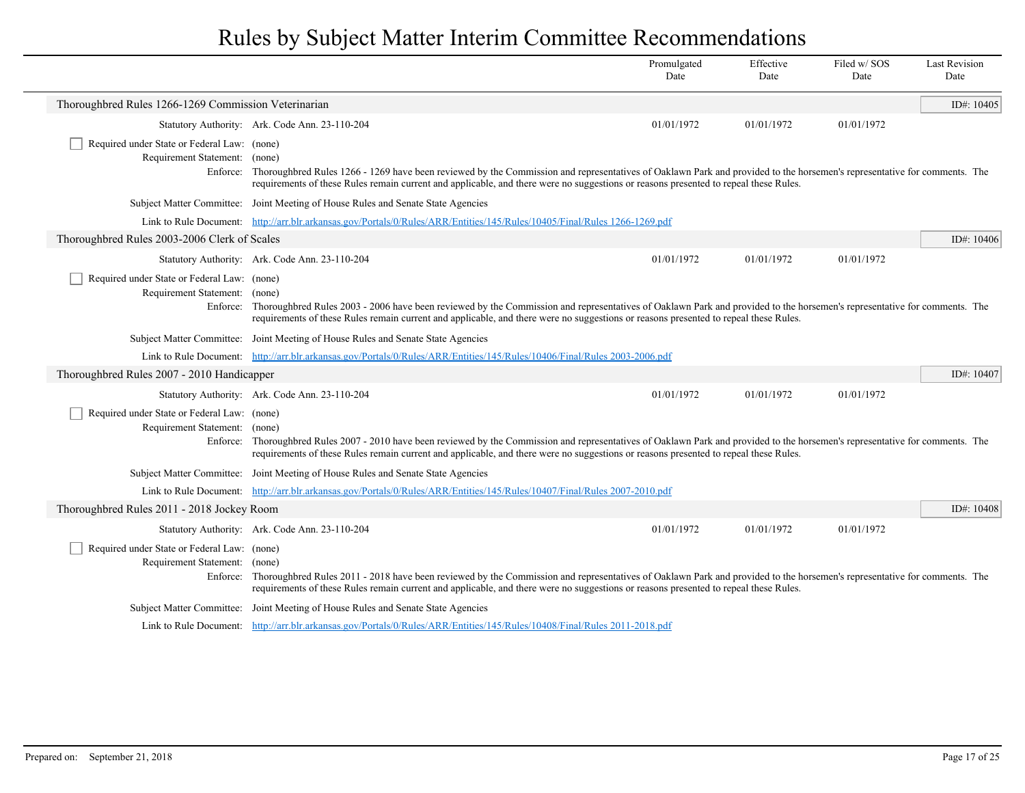|                                                                              |                                                                                                                                                                                                                                                                                                                          | Promulgated<br>Date | Effective<br>Date | Filed w/SOS<br>Date | <b>Last Revision</b><br>Date |  |
|------------------------------------------------------------------------------|--------------------------------------------------------------------------------------------------------------------------------------------------------------------------------------------------------------------------------------------------------------------------------------------------------------------------|---------------------|-------------------|---------------------|------------------------------|--|
| Thoroughbred Rules 1266-1269 Commission Veterinarian                         |                                                                                                                                                                                                                                                                                                                          |                     |                   |                     | ID#: $10405$                 |  |
|                                                                              | Statutory Authority: Ark. Code Ann. 23-110-204                                                                                                                                                                                                                                                                           | 01/01/1972          | 01/01/1972        | 01/01/1972          |                              |  |
| Required under State or Federal Law: (none)<br>Requirement Statement: (none) | Enforce: Thoroughbred Rules 1266 - 1269 have been reviewed by the Commission and representatives of Oaklawn Park and provided to the horsemen's representative for comments. The<br>requirements of these Rules remain current and applicable, and there were no suggestions or reasons presented to repeal these Rules. |                     |                   |                     |                              |  |
|                                                                              | Subject Matter Committee: Joint Meeting of House Rules and Senate State Agencies                                                                                                                                                                                                                                         |                     |                   |                     |                              |  |
|                                                                              | Link to Rule Document: http://arr.blr.arkansas.gov/Portals/0/Rules/ARR/Entities/145/Rules/10405/Final/Rules 1266-1269.pdf                                                                                                                                                                                                |                     |                   |                     |                              |  |
| Thoroughbred Rules 2003-2006 Clerk of Scales                                 |                                                                                                                                                                                                                                                                                                                          |                     |                   |                     | ID#: $10406$                 |  |
|                                                                              | Statutory Authority: Ark. Code Ann. 23-110-204                                                                                                                                                                                                                                                                           | 01/01/1972          | 01/01/1972        | 01/01/1972          |                              |  |
| Required under State or Federal Law: (none)<br>Requirement Statement: (none) | Enforce: Thoroughbred Rules 2003 - 2006 have been reviewed by the Commission and representatives of Oaklawn Park and provided to the horsemen's representative for comments. The<br>requirements of these Rules remain current and applicable, and there were no suggestions or reasons presented to repeal these Rules. |                     |                   |                     |                              |  |
|                                                                              | Subject Matter Committee: Joint Meeting of House Rules and Senate State Agencies                                                                                                                                                                                                                                         |                     |                   |                     |                              |  |
|                                                                              | Link to Rule Document: http://arr.blr.arkansas.gov/Portals/0/Rules/ARR/Entities/145/Rules/10406/Final/Rules 2003-2006.pdf                                                                                                                                                                                                |                     |                   |                     |                              |  |
| Thoroughbred Rules 2007 - 2010 Handicapper                                   |                                                                                                                                                                                                                                                                                                                          |                     |                   |                     | ID#: $10407$                 |  |
|                                                                              | Statutory Authority: Ark. Code Ann. 23-110-204                                                                                                                                                                                                                                                                           | 01/01/1972          | 01/01/1972        | 01/01/1972          |                              |  |
| Required under State or Federal Law: (none)<br>Requirement Statement: (none) | Enforce: Thoroughbred Rules 2007 - 2010 have been reviewed by the Commission and representatives of Oaklawn Park and provided to the horsemen's representative for comments. The<br>requirements of these Rules remain current and applicable, and there were no suggestions or reasons presented to repeal these Rules. |                     |                   |                     |                              |  |
|                                                                              | Subject Matter Committee: Joint Meeting of House Rules and Senate State Agencies                                                                                                                                                                                                                                         |                     |                   |                     |                              |  |
|                                                                              | Link to Rule Document: http://arr.blr.arkansas.gov/Portals/0/Rules/ARR/Entities/145/Rules/10407/Final/Rules 2007-2010.pdf                                                                                                                                                                                                |                     |                   |                     |                              |  |
| Thoroughbred Rules 2011 - 2018 Jockey Room                                   |                                                                                                                                                                                                                                                                                                                          |                     |                   |                     | ID#: $10408$                 |  |
|                                                                              | Statutory Authority: Ark. Code Ann. 23-110-204                                                                                                                                                                                                                                                                           | 01/01/1972          | 01/01/1972        | 01/01/1972          |                              |  |
| Required under State or Federal Law: (none)<br>Requirement Statement: (none) | Enforce: Thoroughbred Rules 2011 - 2018 have been reviewed by the Commission and representatives of Oaklawn Park and provided to the horsemen's representative for comments. The<br>requirements of these Rules remain current and applicable, and there were no suggestions or reasons presented to repeal these Rules. |                     |                   |                     |                              |  |
|                                                                              | Subject Matter Committee: Joint Meeting of House Rules and Senate State Agencies                                                                                                                                                                                                                                         |                     |                   |                     |                              |  |
|                                                                              | Link to Rule Document: http://arr.blr.arkansas.gov/Portals/0/Rules/ARR/Entities/145/Rules/10408/Final/Rules 2011-2018.pdf                                                                                                                                                                                                |                     |                   |                     |                              |  |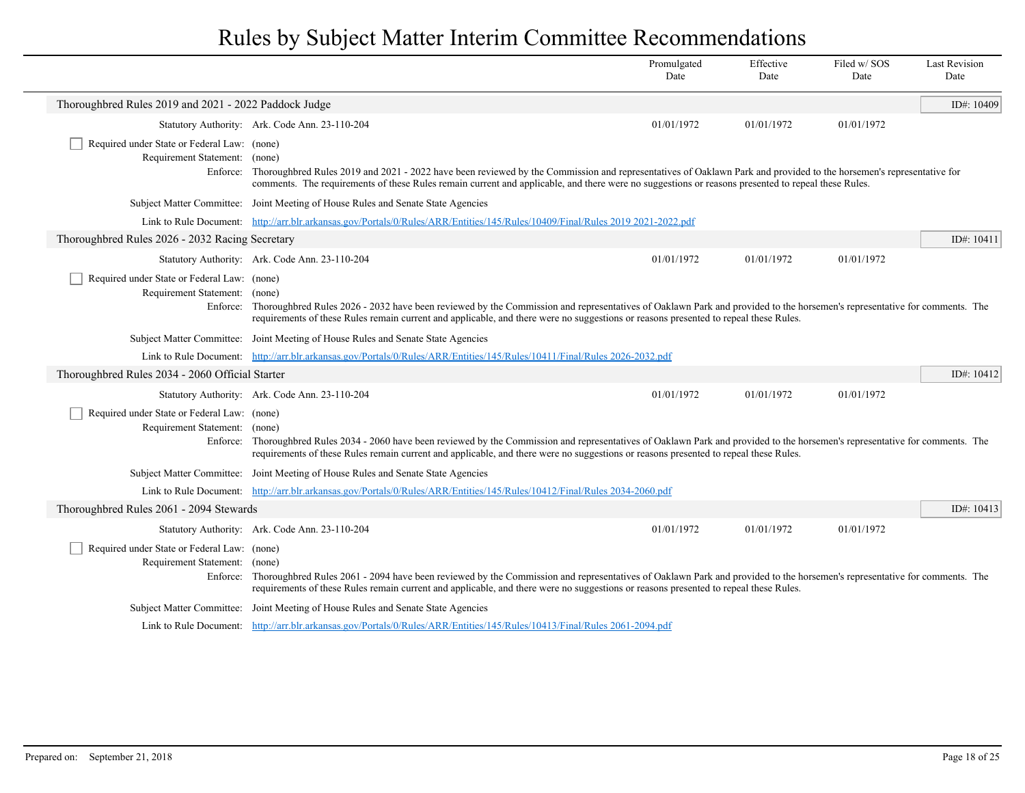|                                                                                          |                                                                                                                                                                                                                                                                                                                                             | Promulgated<br>Date | Effective<br>Date | Filed w/SOS<br>Date | <b>Last Revision</b><br>Date |
|------------------------------------------------------------------------------------------|---------------------------------------------------------------------------------------------------------------------------------------------------------------------------------------------------------------------------------------------------------------------------------------------------------------------------------------------|---------------------|-------------------|---------------------|------------------------------|
| Thoroughbred Rules 2019 and 2021 - 2022 Paddock Judge                                    |                                                                                                                                                                                                                                                                                                                                             |                     |                   |                     | ID#: $10409$                 |
|                                                                                          | Statutory Authority: Ark. Code Ann. 23-110-204                                                                                                                                                                                                                                                                                              | 01/01/1972          | 01/01/1972        | 01/01/1972          |                              |
| Required under State or Federal Law: (none)<br>Requirement Statement:                    | (none)<br>Enforce: Thoroughbred Rules 2019 and 2021 - 2022 have been reviewed by the Commission and representatives of Oaklawn Park and provided to the horsemen's representative for<br>comments. The requirements of these Rules remain current and applicable, and there were no suggestions or reasons presented to repeal these Rules. |                     |                   |                     |                              |
|                                                                                          | Subject Matter Committee: Joint Meeting of House Rules and Senate State Agencies                                                                                                                                                                                                                                                            |                     |                   |                     |                              |
|                                                                                          | Link to Rule Document: http://arr.blr.arkansas.gov/Portals/0/Rules/ARR/Entities/145/Rules/10409/Final/Rules 2019 2021-2022.pdf                                                                                                                                                                                                              |                     |                   |                     |                              |
| Thoroughbred Rules 2026 - 2032 Racing Secretary                                          |                                                                                                                                                                                                                                                                                                                                             |                     |                   |                     | ID#: $10411$                 |
|                                                                                          | Statutory Authority: Ark. Code Ann. 23-110-204                                                                                                                                                                                                                                                                                              | 01/01/1972          | 01/01/1972        | 01/01/1972          |                              |
| Required under State or Federal Law: (none)<br>Requirement Statement: (none)             | Enforce: Thoroughbred Rules 2026 - 2032 have been reviewed by the Commission and representatives of Oaklawn Park and provided to the horsemen's representative for comments. The<br>requirements of these Rules remain current and applicable, and there were no suggestions or reasons presented to repeal these Rules.                    |                     |                   |                     |                              |
|                                                                                          | Subject Matter Committee: Joint Meeting of House Rules and Senate State Agencies                                                                                                                                                                                                                                                            |                     |                   |                     |                              |
|                                                                                          | Link to Rule Document: http://arr.blr.arkansas.gov/Portals/0/Rules/ARR/Entities/145/Rules/10411/Final/Rules 2026-2032.pdf                                                                                                                                                                                                                   |                     |                   |                     |                              |
| Thoroughbred Rules 2034 - 2060 Official Starter                                          |                                                                                                                                                                                                                                                                                                                                             |                     |                   |                     | ID#: $10412$                 |
|                                                                                          | Statutory Authority: Ark. Code Ann. 23-110-204                                                                                                                                                                                                                                                                                              | 01/01/1972          | 01/01/1972        | 01/01/1972          |                              |
| Required under State or Federal Law: (none)<br>Requirement Statement: (none)<br>Enforce: | Thoroughbred Rules 2034 - 2060 have been reviewed by the Commission and representatives of Oaklawn Park and provided to the horsemen's representative for comments. The<br>requirements of these Rules remain current and applicable, and there were no suggestions or reasons presented to repeal these Rules.                             |                     |                   |                     |                              |
|                                                                                          | Subject Matter Committee: Joint Meeting of House Rules and Senate State Agencies                                                                                                                                                                                                                                                            |                     |                   |                     |                              |
|                                                                                          | Link to Rule Document: http://arr.blr.arkansas.gov/Portals/0/Rules/ARR/Entities/145/Rules/10412/Final/Rules 2034-2060.pdf                                                                                                                                                                                                                   |                     |                   |                     |                              |
| Thoroughbred Rules 2061 - 2094 Stewards                                                  |                                                                                                                                                                                                                                                                                                                                             |                     |                   |                     | ID#: $10413$                 |
|                                                                                          | Statutory Authority: Ark. Code Ann. 23-110-204                                                                                                                                                                                                                                                                                              | 01/01/1972          | 01/01/1972        | 01/01/1972          |                              |
| Required under State or Federal Law: (none)<br>Requirement Statement: (none)             | Enforce: Thoroughbred Rules 2061 - 2094 have been reviewed by the Commission and representatives of Oaklawn Park and provided to the horsemen's representative for comments. The<br>requirements of these Rules remain current and applicable, and there were no suggestions or reasons presented to repeal these Rules.                    |                     |                   |                     |                              |
|                                                                                          | Subject Matter Committee: Joint Meeting of House Rules and Senate State Agencies                                                                                                                                                                                                                                                            |                     |                   |                     |                              |
|                                                                                          | Link to Rule Document: http://arr.blr.arkansas.gov/Portals/0/Rules/ARR/Entities/145/Rules/10413/Final/Rules 2061-2094.pdf                                                                                                                                                                                                                   |                     |                   |                     |                              |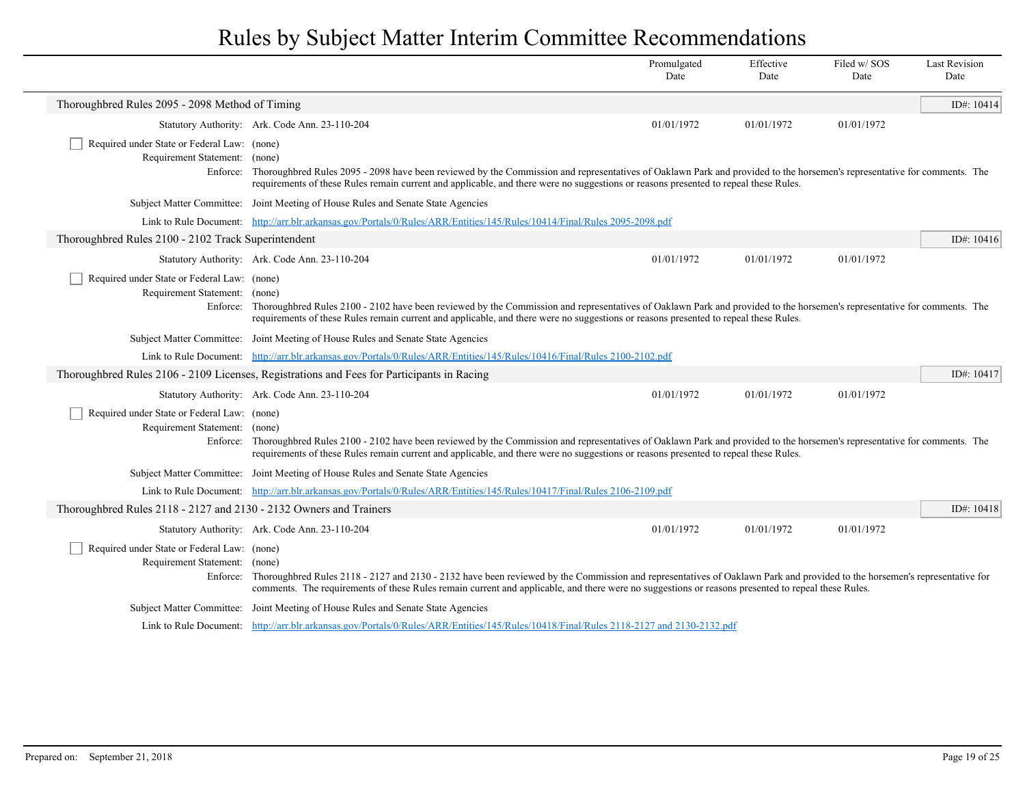|                                                                              |                                                                                                                                                                                                                                                                                                                                                    | Promulgated<br>Date | Effective<br>Date | Filed w/ SOS<br>Date | <b>Last Revision</b><br>Date |
|------------------------------------------------------------------------------|----------------------------------------------------------------------------------------------------------------------------------------------------------------------------------------------------------------------------------------------------------------------------------------------------------------------------------------------------|---------------------|-------------------|----------------------|------------------------------|
| Thoroughbred Rules 2095 - 2098 Method of Timing                              |                                                                                                                                                                                                                                                                                                                                                    |                     |                   |                      | ID#: $10414$                 |
|                                                                              | Statutory Authority: Ark. Code Ann. 23-110-204                                                                                                                                                                                                                                                                                                     | 01/01/1972          | 01/01/1972        | 01/01/1972           |                              |
| Required under State or Federal Law: (none)<br>Requirement Statement: (none) | Enforce: Thoroughbred Rules 2095 - 2098 have been reviewed by the Commission and representatives of Oaklawn Park and provided to the horsemen's representative for comments. The<br>requirements of these Rules remain current and applicable, and there were no suggestions or reasons presented to repeal these Rules.                           |                     |                   |                      |                              |
|                                                                              | Subject Matter Committee: Joint Meeting of House Rules and Senate State Agencies                                                                                                                                                                                                                                                                   |                     |                   |                      |                              |
|                                                                              | Link to Rule Document: http://arr.blr.arkansas.gov/Portals/0/Rules/ARR/Entities/145/Rules/10414/Final/Rules 2095-2098.pdf                                                                                                                                                                                                                          |                     |                   |                      |                              |
| Thoroughbred Rules 2100 - 2102 Track Superintendent                          |                                                                                                                                                                                                                                                                                                                                                    |                     |                   |                      | ID#: $10416$                 |
|                                                                              | Statutory Authority: Ark. Code Ann. 23-110-204                                                                                                                                                                                                                                                                                                     | 01/01/1972          | 01/01/1972        | 01/01/1972           |                              |
| Required under State or Federal Law: (none)<br>Requirement Statement: (none) | Enforce: Thoroughbred Rules 2100 - 2102 have been reviewed by the Commission and representatives of Oaklawn Park and provided to the horsemen's representative for comments. The<br>requirements of these Rules remain current and applicable, and there were no suggestions or reasons presented to repeal these Rules.                           |                     |                   |                      |                              |
|                                                                              | Subject Matter Committee: Joint Meeting of House Rules and Senate State Agencies                                                                                                                                                                                                                                                                   |                     |                   |                      |                              |
|                                                                              | Link to Rule Document: http://arr.blr.arkansas.gov/Portals/0/Rules/ARR/Entities/145/Rules/10416/Final/Rules 2100-2102.pdf                                                                                                                                                                                                                          |                     |                   |                      |                              |
|                                                                              | Thoroughbred Rules 2106 - 2109 Licenses, Registrations and Fees for Participants in Racing                                                                                                                                                                                                                                                         |                     |                   |                      | ID#: $10417$                 |
|                                                                              | Statutory Authority: Ark. Code Ann. 23-110-204                                                                                                                                                                                                                                                                                                     | 01/01/1972          | 01/01/1972        | 01/01/1972           |                              |
| Required under State or Federal Law: (none)<br>Requirement Statement: (none) | Enforce: Thoroughbred Rules 2100 - 2102 have been reviewed by the Commission and representatives of Oaklawn Park and provided to the horsemen's representative for comments. The<br>requirements of these Rules remain current and applicable, and there were no suggestions or reasons presented to repeal these Rules.                           |                     |                   |                      |                              |
|                                                                              | Subject Matter Committee: Joint Meeting of House Rules and Senate State Agencies                                                                                                                                                                                                                                                                   |                     |                   |                      |                              |
|                                                                              | Link to Rule Document: http://arr.blr.arkansas.gov/Portals/0/Rules/ARR/Entities/145/Rules/10417/Final/Rules 2106-2109.pdf                                                                                                                                                                                                                          |                     |                   |                      |                              |
| Thoroughbred Rules 2118 - 2127 and 2130 - 2132 Owners and Trainers           |                                                                                                                                                                                                                                                                                                                                                    |                     |                   |                      | ID#: $10418$                 |
|                                                                              | Statutory Authority: Ark. Code Ann. 23-110-204                                                                                                                                                                                                                                                                                                     | 01/01/1972          | 01/01/1972        | 01/01/1972           |                              |
| Required under State or Federal Law: (none)<br>Requirement Statement:        | (none)<br>Enforce: Thoroughbred Rules 2118 - 2127 and 2130 - 2132 have been reviewed by the Commission and representatives of Oaklawn Park and provided to the horsemen's representative for<br>comments. The requirements of these Rules remain current and applicable, and there were no suggestions or reasons presented to repeal these Rules. |                     |                   |                      |                              |
|                                                                              | Subject Matter Committee: Joint Meeting of House Rules and Senate State Agencies                                                                                                                                                                                                                                                                   |                     |                   |                      |                              |
|                                                                              | Link to Rule Document: http://arr.blr.arkansas.gov/Portals/0/Rules/ARR/Entities/145/Rules/10418/Final/Rules 2118-2127 and 2130-2132.pdf                                                                                                                                                                                                            |                     |                   |                      |                              |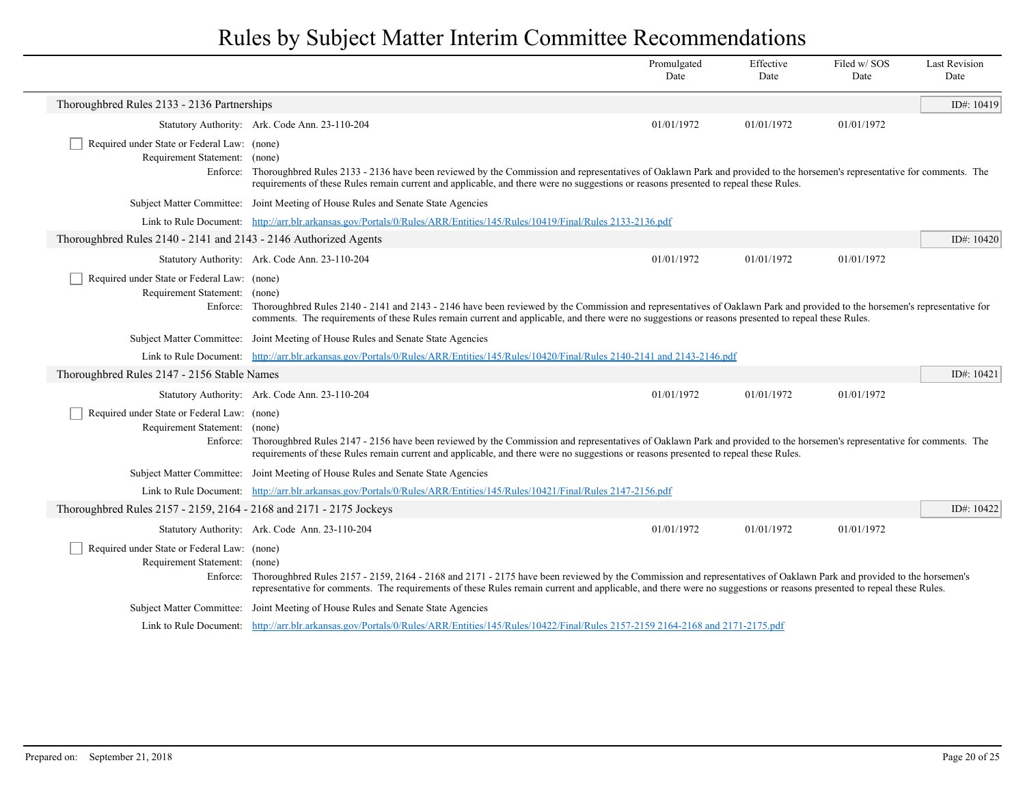|                                                                              |                                                                                                                                                                                                                                                                                                                                                       | Promulgated<br>Date | Effective<br>Date | Filed w/SOS<br>Date | <b>Last Revision</b><br>Date |
|------------------------------------------------------------------------------|-------------------------------------------------------------------------------------------------------------------------------------------------------------------------------------------------------------------------------------------------------------------------------------------------------------------------------------------------------|---------------------|-------------------|---------------------|------------------------------|
| Thoroughbred Rules 2133 - 2136 Partnerships                                  |                                                                                                                                                                                                                                                                                                                                                       |                     |                   |                     | ID#: $10419$                 |
|                                                                              | Statutory Authority: Ark. Code Ann. 23-110-204                                                                                                                                                                                                                                                                                                        | 01/01/1972          | 01/01/1972        | 01/01/1972          |                              |
| Required under State or Federal Law: (none)                                  |                                                                                                                                                                                                                                                                                                                                                       |                     |                   |                     |                              |
| Requirement Statement: (none)                                                | Enforce: Thoroughbred Rules 2133 - 2136 have been reviewed by the Commission and representatives of Oaklawn Park and provided to the horsemen's representative for comments. The<br>requirements of these Rules remain current and applicable, and there were no suggestions or reasons presented to repeal these Rules.                              |                     |                   |                     |                              |
|                                                                              | Subject Matter Committee: Joint Meeting of House Rules and Senate State Agencies                                                                                                                                                                                                                                                                      |                     |                   |                     |                              |
|                                                                              | Link to Rule Document: http://arr.blr.arkansas.gov/Portals/0/Rules/ARR/Entities/145/Rules/10419/Final/Rules 2133-2136.pdf                                                                                                                                                                                                                             |                     |                   |                     |                              |
| Thoroughbred Rules 2140 - 2141 and 2143 - 2146 Authorized Agents             |                                                                                                                                                                                                                                                                                                                                                       |                     |                   |                     | ID#: $10420$                 |
|                                                                              | Statutory Authority: Ark. Code Ann. 23-110-204                                                                                                                                                                                                                                                                                                        | 01/01/1972          | 01/01/1972        | 01/01/1972          |                              |
| Required under State or Federal Law: (none)<br>Requirement Statement: (none) | Enforce: Thoroughbred Rules 2140 - 2141 and 2143 - 2146 have been reviewed by the Commission and representatives of Oaklawn Park and provided to the horsemen's representative for<br>comments. The requirements of these Rules remain current and applicable, and there were no suggestions or reasons presented to repeal these Rules.              |                     |                   |                     |                              |
|                                                                              | Subject Matter Committee: Joint Meeting of House Rules and Senate State Agencies                                                                                                                                                                                                                                                                      |                     |                   |                     |                              |
|                                                                              | Link to Rule Document: http://arr.blr.arkansas.gov/Portals/0/Rules/ARR/Entities/145/Rules/10420/Final/Rules 2140-2141 and 2143-2146.pdf                                                                                                                                                                                                               |                     |                   |                     |                              |
| Thoroughbred Rules 2147 - 2156 Stable Names                                  |                                                                                                                                                                                                                                                                                                                                                       |                     |                   |                     | ID#: 10421                   |
|                                                                              | Statutory Authority: Ark. Code Ann. 23-110-204                                                                                                                                                                                                                                                                                                        | 01/01/1972          | 01/01/1972        | 01/01/1972          |                              |
| Required under State or Federal Law: (none)<br>Requirement Statement: (none) | Enforce: Thoroughbred Rules 2147 - 2156 have been reviewed by the Commission and representatives of Oaklawn Park and provided to the horsemen's representative for comments. The<br>requirements of these Rules remain current and applicable, and there were no suggestions or reasons presented to repeal these Rules.                              |                     |                   |                     |                              |
|                                                                              | Subject Matter Committee: Joint Meeting of House Rules and Senate State Agencies                                                                                                                                                                                                                                                                      |                     |                   |                     |                              |
|                                                                              | Link to Rule Document: http://arr.blr.arkansas.gov/Portals/0/Rules/ARR/Entities/145/Rules/10421/Final/Rules 2147-2156.pdf                                                                                                                                                                                                                             |                     |                   |                     |                              |
| Thoroughbred Rules 2157 - 2159, 2164 - 2168 and 2171 - 2175 Jockeys          |                                                                                                                                                                                                                                                                                                                                                       |                     |                   |                     | ID#: 10422                   |
|                                                                              | Statutory Authority: Ark. Code Ann. 23-110-204                                                                                                                                                                                                                                                                                                        | 01/01/1972          | 01/01/1972        | 01/01/1972          |                              |
| Required under State or Federal Law: (none)<br>Requirement Statement: (none) | Enforce: Thoroughbred Rules 2157 - 2159, 2164 - 2168 and 2171 - 2175 have been reviewed by the Commission and representatives of Oaklawn Park and provided to the horsemen's<br>representative for comments. The requirements of these Rules remain current and applicable, and there were no suggestions or reasons presented to repeal these Rules. |                     |                   |                     |                              |
|                                                                              | Subject Matter Committee: Joint Meeting of House Rules and Senate State Agencies                                                                                                                                                                                                                                                                      |                     |                   |                     |                              |
|                                                                              | Link to Rule Document: http://arr.blr.arkansas.gov/Portals/0/Rules/ARR/Entities/145/Rules/10422/Final/Rules 2157-2159 2164-2168 and 2171-2175.pdf                                                                                                                                                                                                     |                     |                   |                     |                              |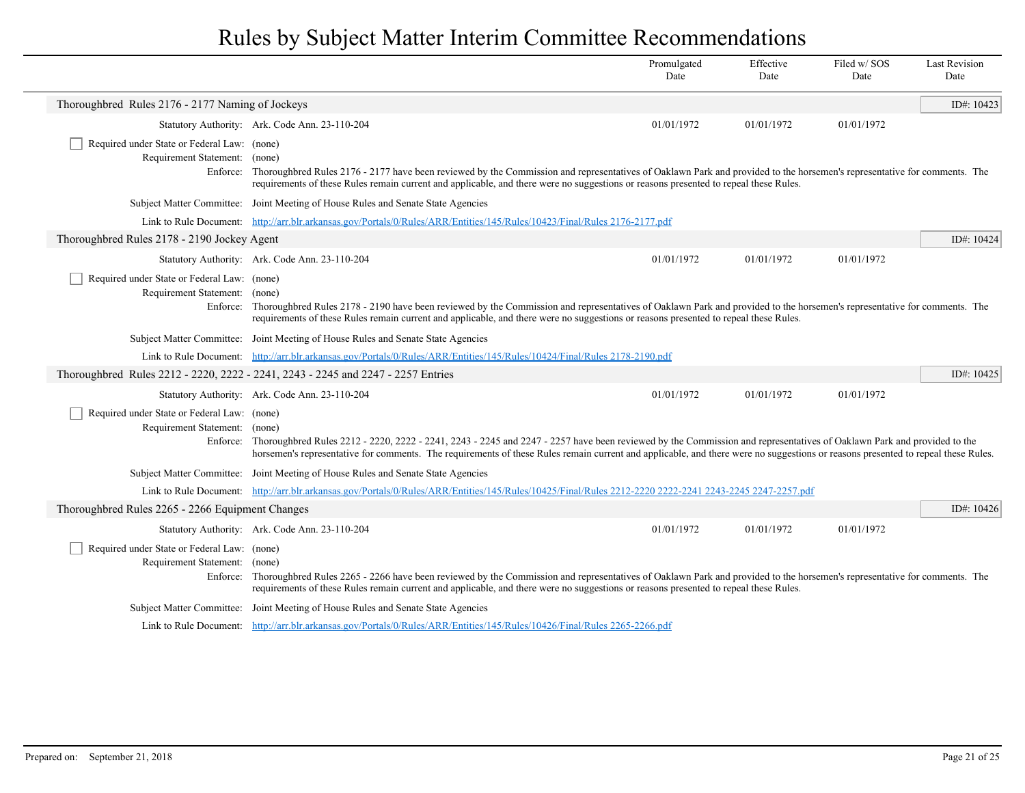|                                                                              |                                                                                                                                                                                                                                                                                                                                                                    | Promulgated<br>Date | Effective<br>Date | Filed w/SOS<br>Date | <b>Last Revision</b><br>Date |
|------------------------------------------------------------------------------|--------------------------------------------------------------------------------------------------------------------------------------------------------------------------------------------------------------------------------------------------------------------------------------------------------------------------------------------------------------------|---------------------|-------------------|---------------------|------------------------------|
| Thoroughbred Rules 2176 - 2177 Naming of Jockeys                             |                                                                                                                                                                                                                                                                                                                                                                    |                     |                   |                     | ID#: 10423                   |
|                                                                              | Statutory Authority: Ark. Code Ann. 23-110-204                                                                                                                                                                                                                                                                                                                     | 01/01/1972          | 01/01/1972        | 01/01/1972          |                              |
| Required under State or Federal Law: (none)<br>Requirement Statement:        | (none)<br>Enforce: Thoroughbred Rules 2176 - 2177 have been reviewed by the Commission and representatives of Oaklawn Park and provided to the horsemen's representative for comments. The<br>requirements of these Rules remain current and applicable, and there were no suggestions or reasons presented to repeal these Rules.                                 |                     |                   |                     |                              |
|                                                                              | Subject Matter Committee: Joint Meeting of House Rules and Senate State Agencies                                                                                                                                                                                                                                                                                   |                     |                   |                     |                              |
|                                                                              | Link to Rule Document: http://arr.blr.arkansas.gov/Portals/0/Rules/ARR/Entities/145/Rules/10423/Final/Rules 2176-2177.pdf                                                                                                                                                                                                                                          |                     |                   |                     |                              |
| Thoroughbred Rules 2178 - 2190 Jockey Agent                                  |                                                                                                                                                                                                                                                                                                                                                                    |                     |                   |                     | ID#: 10424                   |
|                                                                              | Statutory Authority: Ark. Code Ann. 23-110-204                                                                                                                                                                                                                                                                                                                     | 01/01/1972          | 01/01/1972        | 01/01/1972          |                              |
| Required under State or Federal Law: (none)<br>Requirement Statement:        | (none)<br>Enforce: Thoroughbred Rules 2178 - 2190 have been reviewed by the Commission and representatives of Oaklawn Park and provided to the horsemen's representative for comments. The<br>requirements of these Rules remain current and applicable, and there were no suggestions or reasons presented to repeal these Rules.                                 |                     |                   |                     |                              |
|                                                                              | Subject Matter Committee: Joint Meeting of House Rules and Senate State Agencies                                                                                                                                                                                                                                                                                   |                     |                   |                     |                              |
|                                                                              | Link to Rule Document: http://arr.blr.arkansas.gov/Portals/0/Rules/ARR/Entities/145/Rules/10424/Final/Rules 2178-2190.pdf                                                                                                                                                                                                                                          |                     |                   |                     |                              |
|                                                                              | Thoroughbred Rules 2212 - 2220, 2222 - 2241, 2243 - 2245 and 2247 - 2257 Entries                                                                                                                                                                                                                                                                                   |                     |                   |                     | ID#: 10425                   |
|                                                                              | Statutory Authority: Ark. Code Ann. 23-110-204                                                                                                                                                                                                                                                                                                                     | 01/01/1972          | 01/01/1972        | 01/01/1972          |                              |
| Required under State or Federal Law: (none)<br>Requirement Statement: (none) | Enforce: Thoroughbred Rules 2212 - 2220, 2222 - 2241, 2243 - 2245 and 2247 - 2257 have been reviewed by the Commission and representatives of Oaklawn Park and provided to the<br>horsemen's representative for comments. The requirements of these Rules remain current and applicable, and there were no suggestions or reasons presented to repeal these Rules. |                     |                   |                     |                              |
|                                                                              | Subject Matter Committee: Joint Meeting of House Rules and Senate State Agencies                                                                                                                                                                                                                                                                                   |                     |                   |                     |                              |
|                                                                              | Link to Rule Document: http://arr.blr.arkansas.gov/Portals/0/Rules/ARR/Entities/145/Rules/10425/Final/Rules 2212-2220 2222-2241 2243-2245 2247-2257.pdf                                                                                                                                                                                                            |                     |                   |                     |                              |
| Thoroughbred Rules 2265 - 2266 Equipment Changes                             |                                                                                                                                                                                                                                                                                                                                                                    |                     |                   |                     | ID#: 10426                   |
|                                                                              | Statutory Authority: Ark. Code Ann. 23-110-204                                                                                                                                                                                                                                                                                                                     | 01/01/1972          | 01/01/1972        | 01/01/1972          |                              |
| Required under State or Federal Law: (none)<br>Requirement Statement: (none) | Enforce: Thoroughbred Rules 2265 - 2266 have been reviewed by the Commission and representatives of Oaklawn Park and provided to the horsemen's representative for comments. The<br>requirements of these Rules remain current and applicable, and there were no suggestions or reasons presented to repeal these Rules.                                           |                     |                   |                     |                              |
|                                                                              | Subject Matter Committee: Joint Meeting of House Rules and Senate State Agencies                                                                                                                                                                                                                                                                                   |                     |                   |                     |                              |
|                                                                              | Link to Rule Document: http://arr.blr.arkansas.gov/Portals/0/Rules/ARR/Entities/145/Rules/10426/Final/Rules 2265-2266.pdf                                                                                                                                                                                                                                          |                     |                   |                     |                              |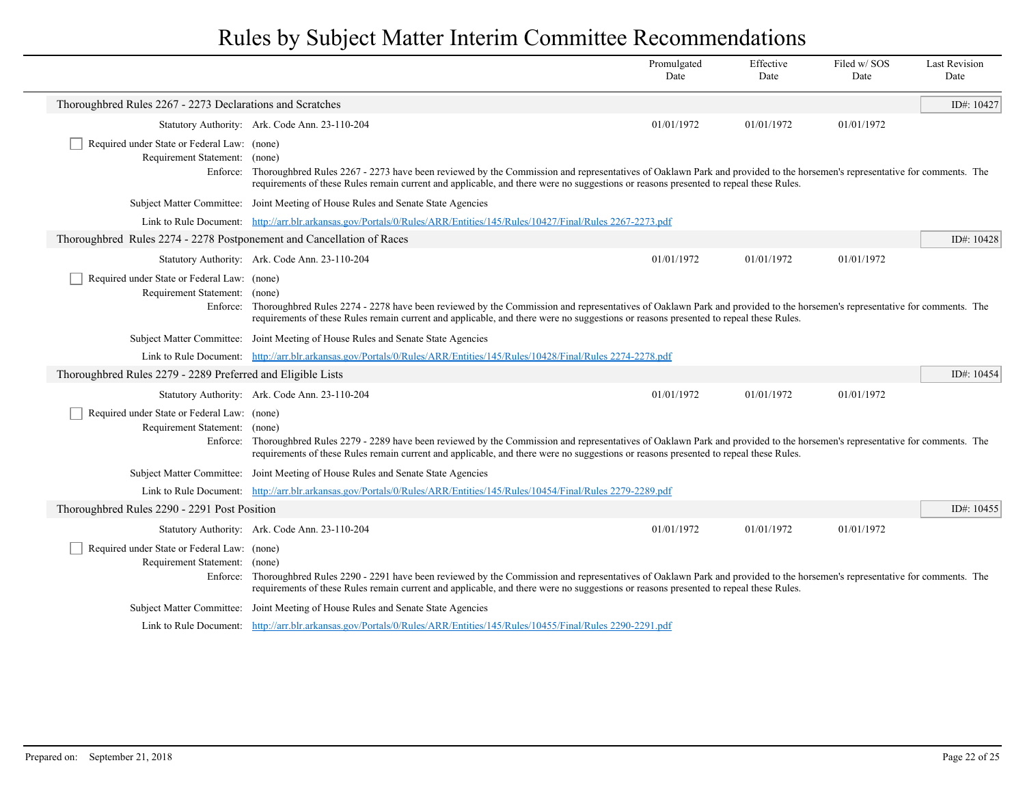|                                                                                          |                                                                                                                                                                                                                                                                                                                          | Promulgated<br>Date | Effective<br>Date | Filed w/SOS<br>Date | <b>Last Revision</b><br>Date |
|------------------------------------------------------------------------------------------|--------------------------------------------------------------------------------------------------------------------------------------------------------------------------------------------------------------------------------------------------------------------------------------------------------------------------|---------------------|-------------------|---------------------|------------------------------|
| Thoroughbred Rules 2267 - 2273 Declarations and Scratches                                |                                                                                                                                                                                                                                                                                                                          |                     |                   |                     | ID#: 10427                   |
|                                                                                          | Statutory Authority: Ark. Code Ann. 23-110-204                                                                                                                                                                                                                                                                           | 01/01/1972          | 01/01/1972        | 01/01/1972          |                              |
| Required under State or Federal Law: (none)<br>Requirement Statement: (none)             | Enforce: Thoroughbred Rules 2267 - 2273 have been reviewed by the Commission and representatives of Oaklawn Park and provided to the horsemen's representative for comments. The<br>requirements of these Rules remain current and applicable, and there were no suggestions or reasons presented to repeal these Rules. |                     |                   |                     |                              |
|                                                                                          | Subject Matter Committee: Joint Meeting of House Rules and Senate State Agencies                                                                                                                                                                                                                                         |                     |                   |                     |                              |
|                                                                                          | Link to Rule Document: http://arr.blr.arkansas.gov/Portals/0/Rules/ARR/Entities/145/Rules/10427/Final/Rules 2267-2273.pdf                                                                                                                                                                                                |                     |                   |                     |                              |
| Thoroughbred Rules 2274 - 2278 Postponement and Cancellation of Races                    |                                                                                                                                                                                                                                                                                                                          |                     |                   |                     | ID#: $10428$                 |
|                                                                                          | Statutory Authority: Ark. Code Ann. 23-110-204                                                                                                                                                                                                                                                                           | 01/01/1972          | 01/01/1972        | 01/01/1972          |                              |
| Required under State or Federal Law: (none)<br>Requirement Statement: (none)             | Enforce: Thoroughbred Rules 2274 - 2278 have been reviewed by the Commission and representatives of Oaklawn Park and provided to the horsemen's representative for comments. The<br>requirements of these Rules remain current and applicable, and there were no suggestions or reasons presented to repeal these Rules. |                     |                   |                     |                              |
|                                                                                          | Subject Matter Committee: Joint Meeting of House Rules and Senate State Agencies                                                                                                                                                                                                                                         |                     |                   |                     |                              |
|                                                                                          | Link to Rule Document: http://arr.blr.arkansas.gov/Portals/0/Rules/ARR/Entities/145/Rules/10428/Final/Rules 2274-2278.pdf                                                                                                                                                                                                |                     |                   |                     |                              |
| Thoroughbred Rules 2279 - 2289 Preferred and Eligible Lists                              |                                                                                                                                                                                                                                                                                                                          |                     |                   |                     | ID#: $10454$                 |
|                                                                                          | Statutory Authority: Ark. Code Ann. 23-110-204                                                                                                                                                                                                                                                                           | 01/01/1972          | 01/01/1972        | 01/01/1972          |                              |
| Required under State or Federal Law: (none)<br>Requirement Statement: (none)<br>Enforce: | Thoroughbred Rules 2279 - 2289 have been reviewed by the Commission and representatives of Oaklawn Park and provided to the horsemen's representative for comments. The<br>requirements of these Rules remain current and applicable, and there were no suggestions or reasons presented to repeal these Rules.          |                     |                   |                     |                              |
|                                                                                          | Subject Matter Committee: Joint Meeting of House Rules and Senate State Agencies                                                                                                                                                                                                                                         |                     |                   |                     |                              |
|                                                                                          | Link to Rule Document: http://arr.blr.arkansas.gov/Portals/0/Rules/ARR/Entities/145/Rules/10454/Final/Rules 2279-2289.pdf                                                                                                                                                                                                |                     |                   |                     |                              |
| Thoroughbred Rules 2290 - 2291 Post Position                                             |                                                                                                                                                                                                                                                                                                                          |                     |                   |                     | ID#: 10455                   |
|                                                                                          | Statutory Authority: Ark. Code Ann. 23-110-204                                                                                                                                                                                                                                                                           | 01/01/1972          | 01/01/1972        | 01/01/1972          |                              |
| Required under State or Federal Law: (none)<br>Requirement Statement: (none)             | Enforce: Thoroughbred Rules 2290 - 2291 have been reviewed by the Commission and representatives of Oaklawn Park and provided to the horsemen's representative for comments. The<br>requirements of these Rules remain current and applicable, and there were no suggestions or reasons presented to repeal these Rules. |                     |                   |                     |                              |
|                                                                                          | Subject Matter Committee: Joint Meeting of House Rules and Senate State Agencies                                                                                                                                                                                                                                         |                     |                   |                     |                              |
|                                                                                          | Link to Rule Document: http://arr.blr.arkansas.gov/Portals/0/Rules/ARR/Entities/145/Rules/10455/Final/Rules 2290-2291.pdf                                                                                                                                                                                                |                     |                   |                     |                              |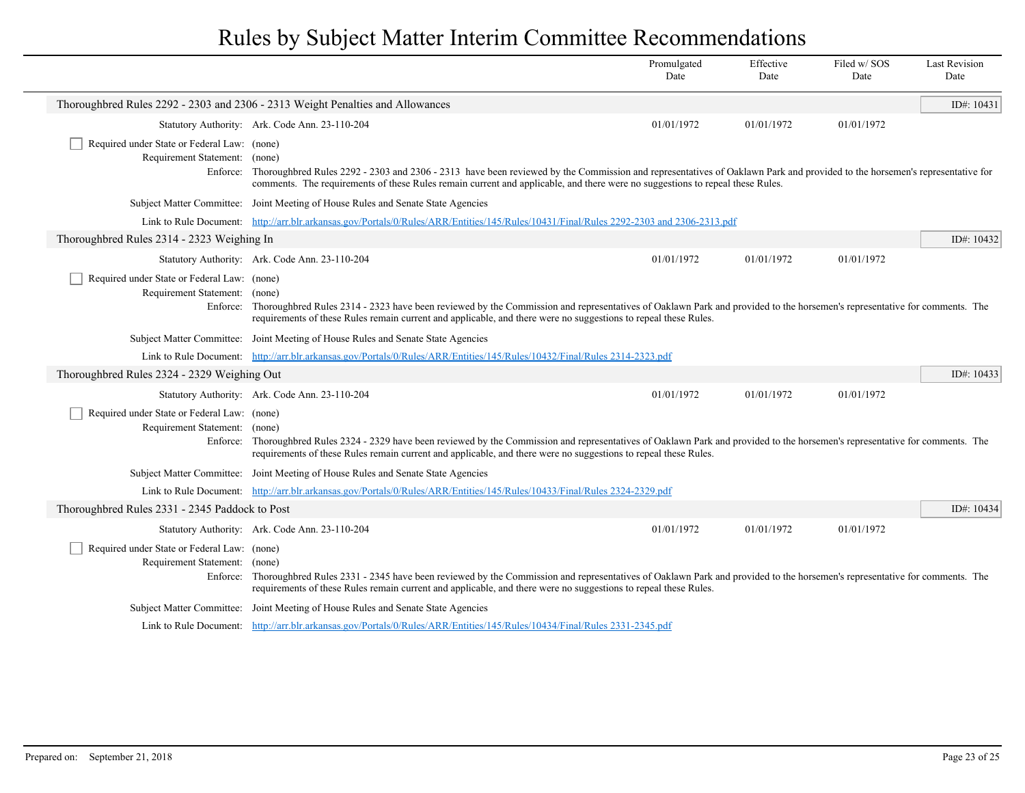|                                                                              |                                                                                                                                                                                                                                                                                                                     | Promulgated<br>Date | Effective<br>Date | Filed w/SOS<br>Date | <b>Last Revision</b><br>Date |
|------------------------------------------------------------------------------|---------------------------------------------------------------------------------------------------------------------------------------------------------------------------------------------------------------------------------------------------------------------------------------------------------------------|---------------------|-------------------|---------------------|------------------------------|
|                                                                              | Thoroughbred Rules 2292 - 2303 and 2306 - 2313 Weight Penalties and Allowances                                                                                                                                                                                                                                      |                     |                   |                     | ID#: $10431$                 |
|                                                                              | Statutory Authority: Ark. Code Ann. 23-110-204                                                                                                                                                                                                                                                                      | 01/01/1972          | 01/01/1972        | 01/01/1972          |                              |
| Required under State or Federal Law: (none)<br>Requirement Statement: (none) | Enforce: Thoroughbred Rules 2292 - 2303 and 2306 - 2313 have been reviewed by the Commission and representatives of Oaklawn Park and provided to the horsemen's representative for<br>comments. The requirements of these Rules remain current and applicable, and there were no suggestions to repeal these Rules. |                     |                   |                     |                              |
|                                                                              | Subject Matter Committee: Joint Meeting of House Rules and Senate State Agencies                                                                                                                                                                                                                                    |                     |                   |                     |                              |
|                                                                              | Link to Rule Document: http://arr.blr.arkansas.gov/Portals/0/Rules/ARR/Entities/145/Rules/10431/Final/Rules 2292-2303 and 2306-2313.pdf                                                                                                                                                                             |                     |                   |                     |                              |
| Thoroughbred Rules 2314 - 2323 Weighing In                                   |                                                                                                                                                                                                                                                                                                                     |                     |                   |                     | ID#: 10432                   |
|                                                                              | Statutory Authority: Ark. Code Ann. 23-110-204                                                                                                                                                                                                                                                                      | 01/01/1972          | 01/01/1972        | 01/01/1972          |                              |
| Required under State or Federal Law: (none)<br>Requirement Statement: (none) | Enforce: Thoroughbred Rules 2314 - 2323 have been reviewed by the Commission and representatives of Oaklawn Park and provided to the horsemen's representative for comments. The<br>requirements of these Rules remain current and applicable, and there were no suggestions to repeal these Rules.                 |                     |                   |                     |                              |
|                                                                              | Subject Matter Committee: Joint Meeting of House Rules and Senate State Agencies                                                                                                                                                                                                                                    |                     |                   |                     |                              |
|                                                                              | Link to Rule Document: http://arr.blr.arkansas.gov/Portals/0/Rules/ARR/Entities/145/Rules/10432/Final/Rules 2314-2323.pdf                                                                                                                                                                                           |                     |                   |                     |                              |
| Thoroughbred Rules 2324 - 2329 Weighing Out                                  |                                                                                                                                                                                                                                                                                                                     |                     |                   |                     | ID#: $10433$                 |
|                                                                              | Statutory Authority: Ark. Code Ann. 23-110-204                                                                                                                                                                                                                                                                      | 01/01/1972          | 01/01/1972        | 01/01/1972          |                              |
| Required under State or Federal Law: (none)<br>Requirement Statement: (none) | Enforce: Thoroughbred Rules 2324 - 2329 have been reviewed by the Commission and representatives of Oaklawn Park and provided to the horsemen's representative for comments. The<br>requirements of these Rules remain current and applicable, and there were no suggestions to repeal these Rules.                 |                     |                   |                     |                              |
|                                                                              | Subject Matter Committee: Joint Meeting of House Rules and Senate State Agencies                                                                                                                                                                                                                                    |                     |                   |                     |                              |
|                                                                              | Link to Rule Document: http://arr.blr.arkansas.gov/Portals/0/Rules/ARR/Entities/145/Rules/10433/Final/Rules 2324-2329.pdf                                                                                                                                                                                           |                     |                   |                     |                              |
| Thoroughbred Rules 2331 - 2345 Paddock to Post                               |                                                                                                                                                                                                                                                                                                                     |                     |                   |                     | ID#: 10434                   |
|                                                                              | Statutory Authority: Ark. Code Ann. 23-110-204                                                                                                                                                                                                                                                                      | 01/01/1972          | 01/01/1972        | 01/01/1972          |                              |
| Required under State or Federal Law: (none)<br>Requirement Statement: (none) | Enforce: Thoroughbred Rules 2331 - 2345 have been reviewed by the Commission and representatives of Oaklawn Park and provided to the horsemen's representative for comments. The<br>requirements of these Rules remain current and applicable, and there were no suggestions to repeal these Rules.                 |                     |                   |                     |                              |
|                                                                              | Subject Matter Committee: Joint Meeting of House Rules and Senate State Agencies                                                                                                                                                                                                                                    |                     |                   |                     |                              |
|                                                                              | Link to Rule Document: http://arr.blr.arkansas.gov/Portals/0/Rules/ARR/Entities/145/Rules/10434/Final/Rules 2331-2345.pdf                                                                                                                                                                                           |                     |                   |                     |                              |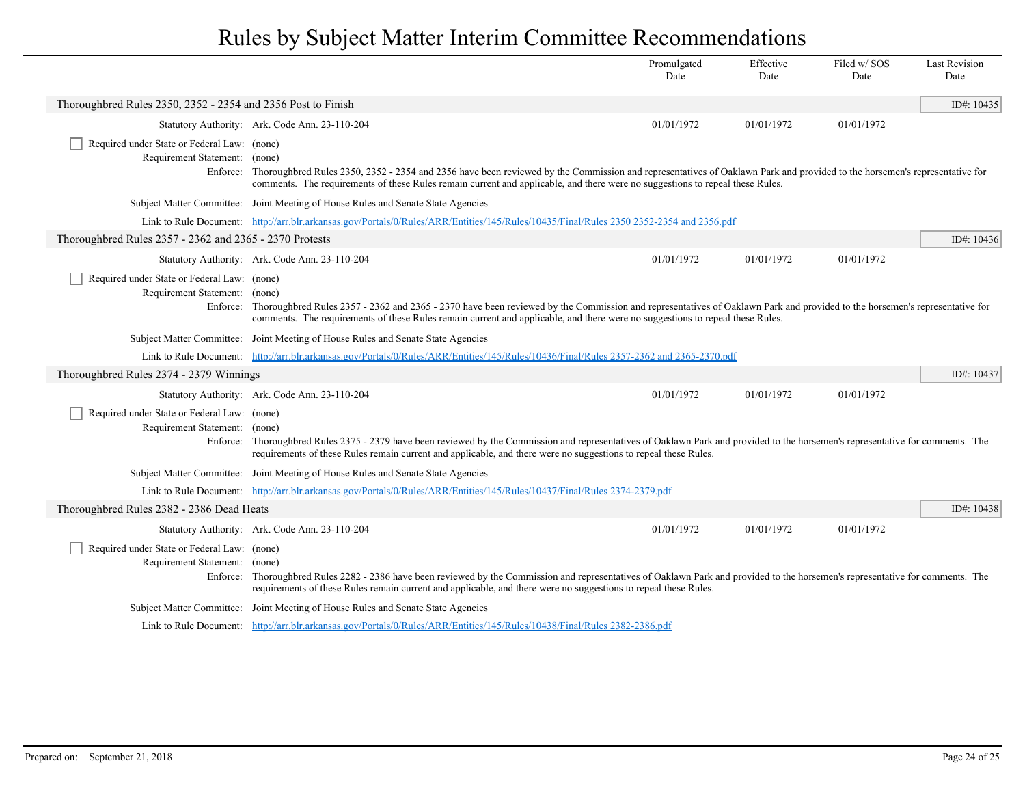|                                                                              |                                                                                                                                                                                                                                                                                                                     | Promulgated<br>Date | Effective<br>Date | Filed w/SOS<br>Date | <b>Last Revision</b><br>Date |
|------------------------------------------------------------------------------|---------------------------------------------------------------------------------------------------------------------------------------------------------------------------------------------------------------------------------------------------------------------------------------------------------------------|---------------------|-------------------|---------------------|------------------------------|
| Thoroughbred Rules 2350, 2352 - 2354 and 2356 Post to Finish                 |                                                                                                                                                                                                                                                                                                                     |                     |                   |                     | ID#: 10435                   |
|                                                                              | Statutory Authority: Ark. Code Ann. 23-110-204                                                                                                                                                                                                                                                                      | 01/01/1972          | 01/01/1972        | 01/01/1972          |                              |
| Required under State or Federal Law: (none)<br>Requirement Statement: (none) | Enforce: Thoroughbred Rules 2350, 2352 - 2354 and 2356 have been reviewed by the Commission and representatives of Oaklawn Park and provided to the horsemen's representative for<br>comments. The requirements of these Rules remain current and applicable, and there were no suggestions to repeal these Rules.  |                     |                   |                     |                              |
|                                                                              | Subject Matter Committee: Joint Meeting of House Rules and Senate State Agencies                                                                                                                                                                                                                                    |                     |                   |                     |                              |
|                                                                              | Link to Rule Document: http://arr.blr.arkansas.gov/Portals/0/Rules/ARR/Entities/145/Rules/10435/Final/Rules 2350 2352-2354 and 2356.pdf                                                                                                                                                                             |                     |                   |                     |                              |
| Thoroughbred Rules 2357 - 2362 and 2365 - 2370 Protests                      |                                                                                                                                                                                                                                                                                                                     |                     |                   |                     | ID#: 10436                   |
|                                                                              | Statutory Authority: Ark. Code Ann. 23-110-204                                                                                                                                                                                                                                                                      | 01/01/1972          | 01/01/1972        | 01/01/1972          |                              |
| Required under State or Federal Law: (none)<br>Requirement Statement: (none) | Enforce: Thoroughbred Rules 2357 - 2362 and 2365 - 2370 have been reviewed by the Commission and representatives of Oaklawn Park and provided to the horsemen's representative for<br>comments. The requirements of these Rules remain current and applicable, and there were no suggestions to repeal these Rules. |                     |                   |                     |                              |
|                                                                              | Subject Matter Committee: Joint Meeting of House Rules and Senate State Agencies                                                                                                                                                                                                                                    |                     |                   |                     |                              |
|                                                                              | Link to Rule Document: http://arr.blr.arkansas.gov/Portals/0/Rules/ARR/Entities/145/Rules/10436/Final/Rules 2357-2362 and 2365-2370.pdf                                                                                                                                                                             |                     |                   |                     |                              |
| Thoroughbred Rules 2374 - 2379 Winnings                                      |                                                                                                                                                                                                                                                                                                                     |                     |                   |                     | ID#: 10437                   |
|                                                                              | Statutory Authority: Ark. Code Ann. 23-110-204                                                                                                                                                                                                                                                                      | 01/01/1972          | 01/01/1972        | 01/01/1972          |                              |
| Required under State or Federal Law: (none)<br>Requirement Statement: (none) | Enforce: Thoroughbred Rules 2375 - 2379 have been reviewed by the Commission and representatives of Oaklawn Park and provided to the horsemen's representative for comments. The<br>requirements of these Rules remain current and applicable, and there were no suggestions to repeal these Rules.                 |                     |                   |                     |                              |
|                                                                              | Subject Matter Committee: Joint Meeting of House Rules and Senate State Agencies                                                                                                                                                                                                                                    |                     |                   |                     |                              |
|                                                                              | Link to Rule Document: http://arr.blr.arkansas.gov/Portals/0/Rules/ARR/Entities/145/Rules/10437/Final/Rules 2374-2379.pdf                                                                                                                                                                                           |                     |                   |                     |                              |
| Thoroughbred Rules 2382 - 2386 Dead Heats                                    |                                                                                                                                                                                                                                                                                                                     |                     |                   |                     | ID#: $10438$                 |
|                                                                              | Statutory Authority: Ark. Code Ann. 23-110-204                                                                                                                                                                                                                                                                      | 01/01/1972          | 01/01/1972        | 01/01/1972          |                              |
| Required under State or Federal Law: (none)<br>Requirement Statement: (none) | Enforce: Thoroughbred Rules 2282 - 2386 have been reviewed by the Commission and representatives of Oaklawn Park and provided to the horsemen's representative for comments. The<br>requirements of these Rules remain current and applicable, and there were no suggestions to repeal these Rules.                 |                     |                   |                     |                              |
|                                                                              | Subject Matter Committee: Joint Meeting of House Rules and Senate State Agencies                                                                                                                                                                                                                                    |                     |                   |                     |                              |
|                                                                              | Link to Rule Document: http://arr.blr.arkansas.gov/Portals/0/Rules/ARR/Entities/145/Rules/10438/Final/Rules 2382-2386.pdf                                                                                                                                                                                           |                     |                   |                     |                              |